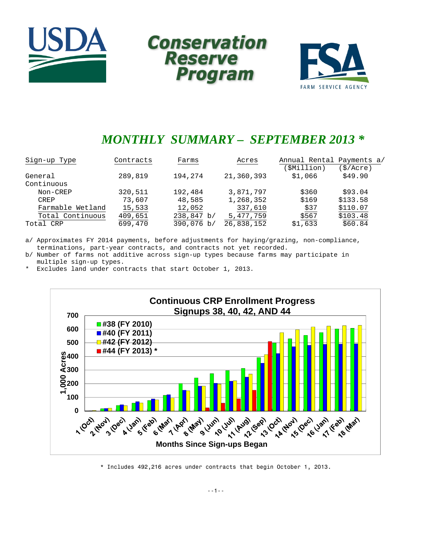





# *MONTHLY SUMMARY – SEPTEMBER 2013 \**

| Sign-up Type     | Contracts | Farms      | Acres      | Annual Rental Payments a/ |           |
|------------------|-----------|------------|------------|---------------------------|-----------|
|                  |           |            |            | (\$Million)               | (\$/Acre) |
| General          | 289,819   | 194,274    | 21,360,393 | \$1,066                   | \$49.90   |
| Continuous       |           |            |            |                           |           |
| Non-CREP         | 320,511   | 192,484    | 3,871,797  | \$360                     | \$93.04   |
| CREP             | 73,607    | 48,585     | 1,268,352  | \$169                     | \$133.58  |
| Farmable Wetland | 15,533    | 12,052     | 337,610    | \$37                      | \$110.07  |
| Total Continuous | 409,651   | 238,847 b/ | 5,477,759  | \$567                     | \$103.48  |
| Total CRP        | 699,470   | 390,076 b/ | 26,838,152 | \$1,633                   | \$60.84   |

a/ Approximates FY 2014 payments, before adjustments for haying/grazing, non-compliance, terminations, part-year contracts, and contracts not yet recorded.

b/ Number of farms not additive across sign-up types because farms may participate in multiple sign-up types.

\* Excludes land under contracts that start October 1, 2013.



\* Includes 492,216 acres under contracts that begin October 1, 2013.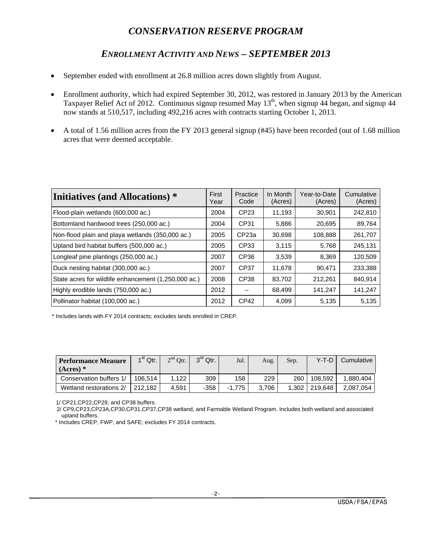# *CONSERVATION RESERVE PROGRAM*

# *ENROLLMENT ACTIVITY AND NEWS – SEPTEMBER 2013*

- September ended with enrollment at 26.8 million acres down slightly from August.
- Enrollment authority, which had expired September 30, 2012, was restored in January 2013 by the American Taxpayer Relief Act of 2012. Continuous signup resumed May 13<sup>th</sup>, when signup 44 began, and signup 44 now stands at 510,517, including 492,216 acres with contracts starting October 1, 2013.
- A total of 1.56 million acres from the FY 2013 general signup (#45) have been recorded (out of 1.68 million acres that were deemed acceptable.

| <b>Initiatives (and Allocations)</b> *               | First<br>Year | Practice<br>Code  | In Month<br>(Acres) | Year-to-Date<br>(Acres) | Cumulative<br>(Acres) |
|------------------------------------------------------|---------------|-------------------|---------------------|-------------------------|-----------------------|
| Flood-plain wetlands (600,000 ac.)                   | 2004          | CP <sub>23</sub>  | 11,193              | 30,901                  | 242,810               |
| Bottomland hardwood trees (250,000 ac.)              | 2004          | CP31              | 5.886               | 20,695                  | 89,764                |
| Non-flood plain and playa wetlands (350,000 ac.)     | 2005          | CP <sub>23a</sub> | 30,698              | 108,888                 | 261,707               |
| Upland bird habitat buffers (500,000 ac.)            | 2005          | CP33              | 3,115               | 5.768                   | 245,131               |
| Longleaf pine plantings (250,000 ac.)                | 2007          | CP <sub>36</sub>  | 3,539               | 8,369                   | 120,509               |
| Duck nesting habitat (300,000 ac.)                   | 2007          | CP37              | 11,678              | 90.471                  | 233,388               |
| State acres for wildlife enhancement (1,250,000 ac.) | 2008          | CP38              | 83,702              | 212,261                 | 840,914               |
| Highly erodible lands (750,000 ac.)                  | 2012          | --                | 68,499              | 141,247                 | 141,247               |
| Pollinator habitat (100,000 ac.)                     | 2012          | CP <sub>42</sub>  | 4.099               | 5,135                   | 5,135                 |

\* Includes lands with FY 2014 contracts; excludes lands enrolled in CREP.

| <b>Performance Measure</b><br>$(Acres)$ * | $1st$ Qtr. | $2nd$ Otr. | $3^{\text{rd}}$ Qtr. | Jul.     | Aug.  | Sep. | $Y-T-D$       | Cumulative |
|-------------------------------------------|------------|------------|----------------------|----------|-------|------|---------------|------------|
| Conservation buffers 1/                   | 106.514    | 1.122      | 309                  | 158      | 229   | 260  | 108.592       | 1.880.404  |
| Wetland restorations 2/                   | 212.182    | 4.591      | $-358$               | $-1.775$ | 3.706 |      | 1.302 219.648 | 2.087.054  |

1/ CP21,CP22,CP29, and CP38 buffers.

 2/ CP9,CP23,CP23A,CP30,CP31,CP37,CP38 wetland, and Farmable Wetland Program. Includes both wetland and associated upland buffers.

\* Includes CREP, FWP, and SAFE; excludes FY 2014 contracts.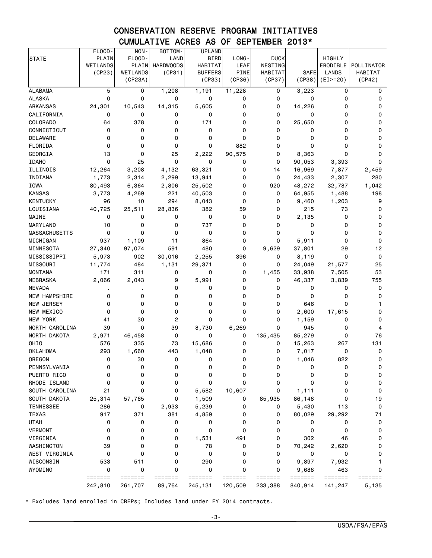# CONSERVATION RESERVE PROGRAM INITIATIVES CUMULATIVE ACRES AS OF SEPTEMBER 2013\*

|                      | FLOOD-       | NON-         | BOTTOM-          | <b>UPLAND</b>  |             |              |                  |              |            |
|----------------------|--------------|--------------|------------------|----------------|-------------|--------------|------------------|--------------|------------|
| <b>STATE</b>         | PLAIN        | FLOOD-       | LAND             | <b>BIRD</b>    | LONG-       | <b>DUCK</b>  |                  | HIGHLY       |            |
|                      | WETLANDS     | PLAIN        | <b>HARDWOODS</b> | <b>HABITAT</b> | <b>LEAF</b> | NESTING      |                  | ERODIBLE     | POLLINATOR |
|                      | (CP23)       | WETLANDS     | (CP31)           | <b>BUFFERS</b> | PINE        | HABITAT      | <b>SAFE</b>      | <b>LANDS</b> | HABITAT    |
|                      |              | (CP23A)      |                  | (CP33)         | (CP36)      | (CP37)       | (CP38)           | $(EI>=20)$   | (CP42)     |
| <b>ALABAMA</b>       | 5            | 0            | 1,208            | 1,191          | 11,228      | 0            | 3,223            | 0            | 0          |
| <b>ALASKA</b>        | 0            | $\mathbf 0$  | 0                | 0              | 0           | 0            | 0                | 0            | 0          |
| ARKANSAS             | 24,301       | 10,543       | 14,315           | 5,605          | 0           | 0            | 14,226           | 0            | 0          |
| CALIFORNIA           | 0            | 0            | 0                | 0              | 0           | 0            | 0                | 0            | 0          |
| <b>COLORADO</b>      | 64           | 378          | 0                | 171            | 0           | 0            | 25,650           | 0            | 0          |
| CONNECTICUT          | 0            | 0            | $\mathbf 0$      | 0              | $\Omega$    | 0            | 0                | 0            | 0          |
| DELAWARE             | 0            | 0            | 0                | 0              | 0           | 0            | 0                | 0            | 0          |
| FLORIDA              | 0            | $\Omega$     | $\mathbf 0$      | 0              | 882         | 0            | 0                | 0            | 0          |
| GEORGIA              | 13           | 0            | 25               | 2,222          | 90,575      | 0            | 8,363            | 0            | 0          |
| <b>IDAHO</b>         | 0            | 25           | 0                | 0              | 0           | 0            | 90,053           | 3,393        | 0          |
| ILLINOIS             | 12,264       | 3,208        | 4,132            | 63,321         | 0           | 14           | 16,969           | 7,877        | 2,459      |
| INDIANA              | 1,773        | 2,314        | 2,299            | 13,941         | 0           | 0            | 24,433           | 2,307        | 280        |
| IOWA                 | 80,493       | 6,364        | 2,806            | 25,502         | 0           | 920          | 48,272           | 32,787       | 1,042      |
| <b>KANSAS</b>        | 3,773        | 4,269        | 221              | 40,503         | $\Omega$    | 0            | 64,955           | 1,488        | 198        |
| <b>KENTUCKY</b>      | 96           | 10           | 294              | 8,043          | 0           | 0            | 9,460            | 1,203        | 9          |
| LOUISIANA            | 40,725       | 25,511       | 28,836           | 382            | 59          | 0            | 215              | 73           | 0          |
| MAINE                | 0            | 0            | 0                | 0              | 0           | 0            | 2,135            | 0            | 0          |
| MARYLAND             | 10           | 0            | 0                | 737            | 0           | 0            | 0                | 0            | 0          |
| MASSACHUSETTS        | 0            | 0            | 0                | 0              | 0           | 0            | 0                | 0            | 0          |
| MICHIGAN             | 937          | 1,109        | 11               | 864            | 0           | 0            | 5,911            | 0            | 0          |
| MINNESOTA            | 27,340       | 97,074       | 591              | 480            | 0           | 9,629        | 37,801           | 29           | 12         |
| MISSISSIPPI          | 5,973        | 902          | 30,016           | 2,255          | 396         | 0            | 8,119            | 0            | 0          |
| MISSOURI             | 11,774       | 484          | 1,131            | 29,371         | 0           | 0            | 24,049           | 21,577       | 25         |
| <b>MONTANA</b>       | 171          | 311          | 0                | 0              | 0           | 1,455        | 33,938           | 7,505        | 53         |
| <b>NEBRASKA</b>      | 2,066        | 2,043        | 9                | 5,991          | 0           | 0            | 46,337           | 3,839        | 755        |
| <b>NEVADA</b>        |              |              | 0                | 0              | 0           | 0            | 0                | 0            | 0          |
| <b>NEW HAMPSHIRE</b> | 0            | 0            | 0                | 0              | 0           | 0            | 0                | 0            | 0          |
| NEW JERSEY           | 0            | $\mathbf 0$  | 0                | 0              | 0           | 0            | 646              | 0            | 1          |
| NEW MEXICO           | $\Omega$     | $\mathbf 0$  | $\mathbf 0$      | 0              | 0           | 0            | 2,600            | 17,615       | 0          |
| NEW YORK             | 41           | 30           | 2                | 0              | 0           | 0            | 1,159            | 0            | 0          |
| NORTH CAROLINA       | 39           | $\mathbf 0$  | 39               | 8,730          | 6,269       | 0            | 945              | 0            | 4          |
| NORTH DAKOTA         | 2,971        | 46,458       | 0                | 0              | 0           | 135,435      | 85,279           | 0            | 76         |
| OHIO                 | 576          | 335          | 73               | 15,686         | 0           | 0            | 15,263           | 267          | 131        |
| <b>OKLAHOMA</b>      | 293          | 1,660        | 443              | 1,048          | 0           | 0            | 7,017            | 0            | 0          |
| OREGON               | 0            | 30           | 0                | 0              | 0           | 0            | 1,046            | 822          | 0          |
| PENNSYLVANIA         | 0            | 0            | 0                | 0              | 0           | 0            | 0                | 0            | 0          |
| PUERTO RICO          | 0            | 0            | 0                | 0              | 0           | 0            | 0                | 0            | 0          |
| RHODE ISLAND         | 0            | 0            | 0                | 0              | 0           | 0            | 0                | 0            | 0          |
| SOUTH CAROLINA       | 21           | 0            | 0                | 5,582          | 10,607      | 0            | 1,111            | 0            | 0          |
| SOUTH DAKOTA         | 25,314       | 57,765       | 0                | 1,509          | 0           | 85,935       | 86,148           | 0            | 19         |
| <b>TENNESSEE</b>     | 286          | 0            | 2,933            | 5,239          | 0           | 0            | 5,430            | 113          | 0          |
| <b>TEXAS</b>         | 917          | 371          | 381              | 4,859          | 0           | 0            | 80,029           | 29,292       | 71         |
| <b>UTAH</b>          | 0            | 0            | 0                | 0              | 0           | 0            | 0                | 0            | 0          |
| <b>VERMONT</b>       | 0            | 0            | 0                | 0              | 0           | 0            | $\mathbf 0$      | 0            | 0          |
| VIRGINIA             | 0            | 0            | 0                | 1,531          | 491         | 0            | 302              | 46           | 0          |
| WASHINGTON           | 39           | 0            | 0                | 78             |             | 0            |                  |              |            |
| WEST VIRGINIA        | 0            | 0            | 0                | 0              | 0<br>0      | 0            | 70,242<br>0      | 2,620<br>0   | 0<br>0     |
| WISCONSIN            | 533          | 511          | 0                | 290            | 0           | 0            |                  |              |            |
|                      |              |              | 0                |                | 0           |              | 9,897            | 7,932        | 1          |
| WYOMING              | 0<br>======= | 0<br>======= | =======          | 0<br>=======   | =======     | 0<br>======= | 9,688<br>======= | 463          | 0          |
|                      |              |              |                  |                |             |              |                  | =======      | =======    |
|                      | 242,810      | 261,707      | 89,764           | 245,131        | 120,509     | 233,388      | 840,914          | 141,247      | 5,135      |

\* Excludes land enrolled in CREPs; Includes land under FY 2014 contracts.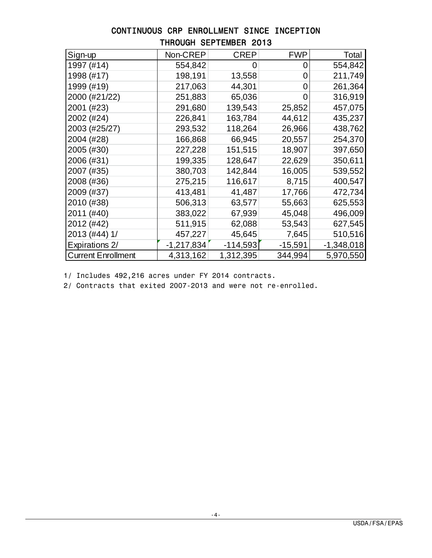| Sign-up                   | Non-CREP     | <b>CREP</b> | <b>FWP</b> | Total        |
|---------------------------|--------------|-------------|------------|--------------|
| 1997 (#14)                | 554,842      | 0           | O          | 554,842      |
| 1998 (#17)                | 198,191      | 13,558      | 0          | 211,749      |
| 1999 (#19)                | 217,063      | 44,301      | 0          | 261,364      |
| 2000 (#21/22)             | 251,883      | 65,036      | O          | 316,919      |
| 2001 (#23)                | 291,680      | 139,543     | 25,852     | 457,075      |
| 2002 (#24)                | 226,841      | 163,784     | 44,612     | 435,237      |
| 2003 (#25/27)             | 293,532      | 118,264     | 26,966     | 438,762      |
| 2004 (#28)                | 166,868      | 66,945      | 20,557     | 254,370      |
| 2005 (#30)                | 227,228      | 151,515     | 18,907     | 397,650      |
| 2006 (#31)                | 199,335      | 128,647     | 22,629     | 350,611      |
| 2007 (#35)                | 380,703      | 142,844     | 16,005     | 539,552      |
| 2008 (#36)                | 275,215      | 116,617     | 8,715      | 400,547      |
| 2009 (#37)                | 413,481      | 41,487      | 17,766     | 472,734      |
| 2010 (#38)                | 506,313      | 63,577      | 55,663     | 625,553      |
| 2011 (#40)                | 383,022      | 67,939      | 45,048     | 496,009      |
| 2012 (#42)                | 511,915      | 62,088      | 53,543     | 627,545      |
| 2013 (#44) 1/             | 457,227      | 45,645      | 7,645      | 510,516      |
| Expirations 2/            | $-1,217,834$ | $-114,593$  | $-15,591$  | $-1,348,018$ |
| <b>Current Enrollment</b> | 4,313,162    | 1,312,395   | 344,994    | 5,970,550    |

### CONTINUOUS CRP ENROLLMENT SINCE INCEPTION THROUGH SEPTEMBER 2013

1/ Includes 492,216 acres under FY 2014 contracts.

2/ Contracts that exited 2007-2013 and were not re-enrolled.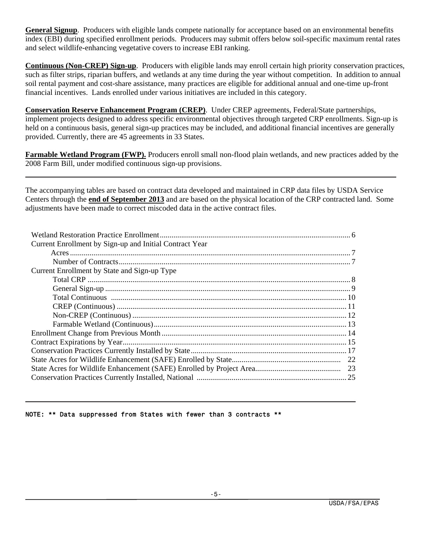**General Signup**. Producers with eligible lands compete nationally for acceptance based on an environmental benefits index (EBI) during specified enrollment periods. Producers may submit offers below soil-specific maximum rental rates and select wildlife-enhancing vegetative covers to increase EBI ranking.

**Continuous (Non-CREP) Sign-up**. Producers with eligible lands may enroll certain high priority conservation practices, such as filter strips, riparian buffers, and wetlands at any time during the year without competition. In addition to annual soil rental payment and cost-share assistance, many practices are eligible for additional annual and one-time up-front financial incentives. Lands enrolled under various initiatives are included in this category.

**Conservation Reserve Enhancement Program (CREP)**. Under CREP agreements, Federal/State partnerships, implement projects designed to address specific environmental objectives through targeted CRP enrollments. Sign-up is held on a continuous basis, general sign-up practices may be included, and additional financial incentives are generally provided. Currently, there are 45 agreements in 33 States.

**Farmable Wetland Program (FWP).** Producers enroll small non-flood plain wetlands, and new practices added by the 2008 Farm Bill, under modified continuous sign-up provisions.

The accompanying tables are based on contract data developed and maintained in CRP data files by USDA Service Centers through the **end of September 2013** and are based on the physical location of the CRP contracted land. Some adjustments have been made to correct miscoded data in the active contract files.

| Current Enrollment by Sign-up and Initial Contract Year |  |
|---------------------------------------------------------|--|
|                                                         |  |
|                                                         |  |
| Current Enrollment by State and Sign-up Type            |  |
|                                                         |  |
|                                                         |  |
|                                                         |  |
|                                                         |  |
|                                                         |  |
|                                                         |  |
|                                                         |  |
|                                                         |  |
|                                                         |  |
|                                                         |  |
|                                                         |  |
|                                                         |  |
|                                                         |  |

#### NOTE: \*\* Data suppressed from States with fewer than 3 contracts \*\*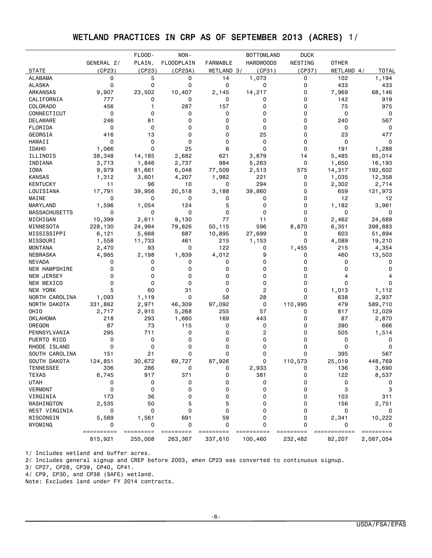# WETLAND PRACTICES IN CRP AS OF SEPTEMBER 2013 (ACRES) 1/

|                      |                   | FLOOD-      | NON-              |                 | <b>BOTTOMLAND</b> | <b>DUCK</b>    |                   |                |
|----------------------|-------------------|-------------|-------------------|-----------------|-------------------|----------------|-------------------|----------------|
|                      | GENERAL 2/        | PLAIN.      | <b>FLOODPLAIN</b> | <b>FARMABLE</b> | <b>HARDWOODS</b>  | NESTING        | <b>OTHER</b>      |                |
| <b>STATE</b>         | (CP23)            | (CP23)      | (CP23A)           | WETLAND 3/      | (CP31)            | (CP37)         | WETLAND 4/        | TOTAL          |
| <b>ALABAMA</b>       | 0                 | 5           | 0                 | 14              | 1,073             | 0              | 102               | 1,194          |
| <b>ALASKA</b>        | 0                 | 0           | 0                 | 0               | 0                 | 0              | 433               | 433            |
| ARKANSAS             | 9,907             | 23,502      | 10,407            | 2,145           | 14,217            | 0              | 7,969             | 68,146         |
| CALIFORNIA           | 777               | 0           | 0                 | 0               | 0                 | 0              | 142               | 919            |
| COLORADO             | 456               | 1           | 287               | 157             | 0                 | 0              | 75                | 975            |
| CONNECTICUT          | 0                 | 0           | 0                 | 0               | 0                 | 0              | 0                 | 0              |
| DELAWARE             | 246               | 81          | 0                 | 0               | 0                 | 0              | 240               | 567            |
| FLORIDA              | 0                 | 0           | 0                 | 0               | 0                 | 0              | 0                 | 0              |
| GEORGIA              | 416               | 13          | 0                 | 0               | 25                | 0              | 23                | 477            |
| HAWAII               | 0                 | 0           | 0                 | 0               | 0                 | 0              | 0                 | 0              |
| <b>IDAHO</b>         | 1,066             | $\Omega$    | 25                | 6               | 0                 | 0              | 191               | 1,288          |
| ILLINOIS             | 38,348            | 14,185      | 2,682             | 621             | 3,679             | 14             | 5,485             | 65,014         |
| INDIANA              | 3,713             | 1,846       | 2,737             | 984             | 5,263             | 0              | 1,650             | 16,193         |
| IOWA                 | 9,979             | 81,661      | 6,048             | 77,509          | 2,513             | 575            | 14,317            | 192,602        |
| <b>KANSAS</b>        | 1,312             | 3,601       | 4,207             | 1,982           | 221               | 0              | 1,035             | 12,358         |
| <b>KENTUCKY</b>      | 11                | 96          | 10                | 0               | 294               | 0              | 2,302             | 2,714          |
|                      | 17,791            | 39,956      | 20,518            |                 |                   | 0              | 659               |                |
| LOUISIANA<br>MAINE   | 0                 | 0           | 0                 | 3,188<br>0      | 39,860<br>0       | 0              | 12                | 121,973<br>12  |
|                      | 1,596             |             | 124               | 5               | 0                 | 0              | 1,182             |                |
| MARYLAND             | 0                 | 1,054<br>0  | 0                 | 0               | 0                 | 0              | 0                 | 3,961<br>0     |
| <b>MASSACHUSETTS</b> |                   |             |                   | 77              |                   | 0              |                   |                |
| MICHIGAN             | 10,399<br>228,130 | 2,611       | 9,130             |                 | 11<br>596         |                | 2,462             | 24,689         |
| MINNESOTA            |                   | 24,994      | 79,826            | 50,115          |                   | 8,870<br>0     | 6,351             | 398,883        |
| MISSISSIPPI          | 6,121             | 5,688       | 887               | 10,895          | 27,699            |                | 603               | 51,894         |
| MISSOURI             | 1,558             | 11,733      | 461               | 215             | 1,153             | 0              | 4,089             | 19,210         |
| <b>MONTANA</b>       | 2,470             | 93          | 0                 | 122             | 0                 | 1,455          | 215               | 4,354          |
| NEBRASKA             | 4,985             | 2,198       | 1,839             | 4,012           | 9                 | 0              | 460               | 13,503         |
| NEVADA               | 0                 | 0           | 0                 | 0               | 0                 | 0              | 0                 | 0              |
| NEW HAMPSHIRE        | 0                 | 0           | 0                 | 0               | 0                 | 0              | 0                 | 0              |
| NEW JERSEY           | 0                 | 0           | 0                 | 0               | 0                 | 0              | 4                 | 4              |
| NEW MEXICO           | 0                 | 0           | 0                 | 0               | 0                 | 0              | 0                 | 0              |
| NEW YORK             | 5                 | 60          | 31                | 0               | 2                 | 0              | 1,013             | 1,112          |
| NORTH CAROLINA       | 1,093             | 1,119       | 0                 | 58              | 28                | 0              | 638               | 2,937          |
| NORTH DAKOTA         | 331,862           | 2,971       | 46,309            | 97,092          | 0                 | 110,995        | 479               | 589,710        |
| OHIO                 | 2,717             | 2,915       | 5,268             | 255             | 57                | 0              | 817               | 12,029         |
| <b>OKLAHOMA</b>      | 218               | 293         | 1,660             | 169             | 443               | 0              | 87                | 2,870          |
| OREGON               | 87                | 73          | 115               | 0               | 0                 | 0              | 390               | 666            |
| PENNSYLVANIA         | 295               | 711         | 0                 | 0               | 2                 | 0              | 505               | 1,514          |
| PUERTO RICO          | 0                 | 0           | 0                 | 0               | 0                 | 0              | 0                 | 0              |
| RHODE ISLAND         | 0                 | 0           | 0                 | 0               | 0                 | 0              | 0                 | 0              |
| SOUTH CAROLINA       | 151               | 21          | 0                 | 0               | 0                 | 0              | 395               | 567            |
| SOUTH DAKOTA         | 124,851           | 30,672      | 69,727            | 87,926          | 0                 | 110,573        | 25,019            | 448,769        |
| <b>TENNESSEE</b>     | 336               | 286         | 0                 | 0               | 2,933             | 0              | 136               | 3,690          |
| <b>TEXAS</b>         | 6,745             | 917         | 371               | 0               | 381               | 0              | 122               | 8,537          |
| <b>UTAH</b>          | 0                 | 0           | 0                 | 0               | 0                 | 0              | 0                 | 0              |
| <b>VERMONT</b>       | 0                 | 0           | 0                 | 0               | 0                 | 0              | 3                 | 3              |
| VIRGINIA             | 173               | 36          | 0                 | 0               | 0                 | 0              | 103               | 311            |
| WASHINGTON           | 2,535             | 50          | 5                 | 5               | 0                 | 0              | 156               | 2,751          |
| WEST VIRGINIA        | 0                 | $\mathbf 0$ | 0                 | 0               | 0                 | 0              | 0                 |                |
| WISCONSIN            | 5,569             | 1,561       | 691               | 59              | 0                 | 0              | 2,341             | 10,222         |
| WYOMING              | 0<br>==========   | 0           | 0<br>$=$ ======== | 0<br>=========  | 0<br>==========   | 0<br>========= | 0<br>============ | 0<br>========= |
|                      | 815,921           | 255,008     | 263,367           | 337,610         | 100,460           | 232,482        | 82,207            | 2,087,054      |

1/ Includes wetland and buffer acres.

2/ Includes general signup and CREP before 2003, when CP23 was converted to continuous signup.

3/ CP27, CP28, CP39, CP40, CP41.

4/ CP9, CP30, and CP38 (SAFE) wetland.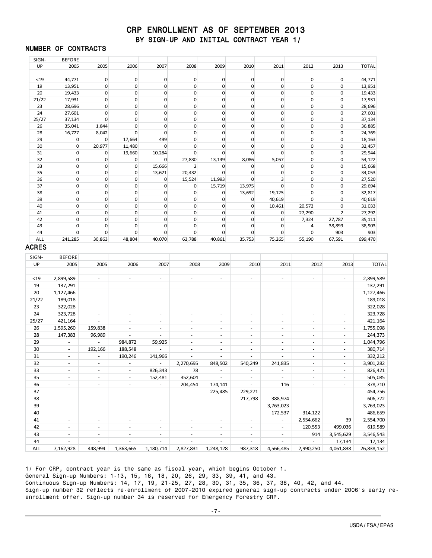#### CRP ENROLLMENT AS OF SEPTEMBER 2013 BY SIGN-UP AND INITIAL CONTRACT YEAR 1/

#### NUMBER OF CONTRACTS

| SIGN-        | <b>BEFORE</b>            |                          |                          |                          |                          |                          |                          |                          |                             |                          |                      |
|--------------|--------------------------|--------------------------|--------------------------|--------------------------|--------------------------|--------------------------|--------------------------|--------------------------|-----------------------------|--------------------------|----------------------|
| UP           | 2005                     | 2005                     | 2006                     | 2007                     | 2008                     | 2009                     | 2010                     | 2011                     | 2012                        | 2013                     | <b>TOTAL</b>         |
| $19$         | 44,771                   | $\mathbf 0$              | $\mathbf 0$              | $\mathsf{O}\xspace$      | $\mathbf 0$              | $\mathbf 0$              | $\mathbf 0$              | $\mathsf 0$              | $\mathbf 0$                 | $\boldsymbol{0}$         | 44,771               |
| 19           | 13,951                   | $\mathbf 0$              | $\mathbf 0$              | $\mathbf 0$              | $\mathbf 0$              | $\mathbf 0$              | 0                        | $\mathbf 0$              | $\mathbf 0$                 | 0                        | 13,951               |
| 20           | 19,433                   | $\pmb{0}$                | $\mathbf 0$              | $\boldsymbol{0}$         | $\mathbf 0$              | $\mathbf 0$              | $\mathbf 0$              | $\mathbf 0$              | $\mathbf 0$                 | 0                        | 19,433               |
| 21/22        | 17,931                   | $\mathbf 0$              | $\mathbf 0$              | $\mathbf 0$              | 0                        | $\mathbf 0$              | $\mathbf 0$              | $\mathbf 0$              | $\mathbf 0$                 | 0                        | 17,931               |
| 23           | 28,696                   | $\mathbf 0$              | $\mathbf 0$              | $\mathbf 0$              | $\mathbf 0$              | $\mathbf 0$              | $\mathbf 0$              | $\mathbf 0$              | $\mathbf 0$                 | $\mathbf 0$              | 28,696               |
| 24           | 27,601                   | $\mathbf 0$              | $\mathbf{0}$             | $\mathsf 0$              | 0                        | $\mathbf 0$              | $\mathbf 0$              | $\mathbf 0$              | $\mathbf{0}$                | $\mathbf 0$              | 27,601               |
| 25/27        | 37,134                   | $\mathbf 0$              | $\mathsf 0$              | $\mathbf 0$              | $\mathbf 0$              | $\mathbf 0$              | $\mathbf 0$              | $\mathbf 0$              | $\mathbf 0$                 | 0                        | 37,134               |
| 26           | 35,041                   | 1,844                    | $\mathbf{0}$             | $\mathbf 0$              | 0                        | $\mathbf 0$              | $\mathbf 0$              | $\mathbf 0$              | $\mathbf 0$                 | 0                        | 36,885               |
| 28           | 16,727                   | 8,042                    | $\mathbf 0$              | $\mathbf 0$              | 0                        | $\mathbf 0$              | 0                        | $\mathbf 0$              | $\mathbf 0$                 | 0                        | 24,769               |
| 29           | $\boldsymbol{0}$         | $\mathbf 0$              | 17,664                   | 499                      | $\mathbf{O}$             | $\mathbf{0}$             | $\mathbf 0$              | $\mathbf 0$              | $\mathbf{0}$                | 0                        | 18,163               |
| 30           | $\mathbf 0$              | 20,977                   | 11,480                   | $\mathbf 0$              | 0                        | 0                        | $\mathbf 0$              | $\mathbf 0$              | $\mathbf 0$                 | 0                        | 32,457               |
| 31           | $\mathbf 0$              | 0                        | 19,660                   | 10,284                   | $\mathbf 0$              | $\mathbf 0$              | $\mathbf 0$              | 0                        | $\mathbf 0$                 | 0                        | 29,944               |
| 32           | $\mathbf 0$              | $\mathbf 0$              | $\mathbf 0$              | 0                        | 27,830                   | 13,149                   | 8,086                    | 5,057                    | $\mathbf{0}$                | 0                        | 54,122               |
| 33           | $\boldsymbol{0}$         | $\mathbf 0$              | $\mathbf 0$              | 15,666                   | $\overline{2}$           | 0                        | $\mathbf 0$              | 0                        | $\mathbf 0$                 | 0                        | 15,668               |
| 35           | $\mathbf 0$              | $\mathbf 0$              | $\mathbf 0$              | 13,621                   | 20,432                   | $\mathbf 0$              | $\mathbf 0$              | $\mathbf 0$              | $\mathbf 0$                 | 0                        | 34,053               |
| 36           | $\mathbf 0$              | $\mathbf 0$              | 0                        | 0                        | 15,524                   | 11,993                   | 0                        | 3                        | $\mathbf 0$                 | 0                        | 27,520               |
| 37           | $\mathbf 0$              | $\pmb{0}$                | $\mathsf 0$              | $\mathbf 0$              | $\mathbf 0$              | 15,719                   | 13,975                   | $\boldsymbol{0}$         | $\mathbf 0$                 | 0                        | 29,694               |
| 38           | $\mathbf 0$              | $\mathbf 0$              | $\mathbf 0$              | $\mathbf 0$              | $\mathbf 0$              | $\mathbf 0$              | 13,692                   | 19,125                   | $\mathbf{0}$                | 0                        | 32,817               |
| 39           | $\mathbf 0$              | $\mathbf 0$              | $\mathbf 0$              | $\mathbf 0$              | $\mathbf 0$              | $\mathbf 0$              | 0                        | 40,619                   | $\mathbf 0$                 | $\mathbf 0$              | 40,619               |
| 40           | $\mathbf 0$              | $\mathbf 0$              | $\mathbf{0}$             | $\mathbf 0$              | $\mathbf 0$              | $\mathbf 0$              | $\mathbf 0$              | 10,461                   | 20,572                      | 0                        | 31,033               |
| 41           | $\mathbf 0$              | $\mathbf 0$              | $\mathbf 0$              | $\mathbf 0$              | $\mathbf 0$              | $\mathbf 0$              | $\mathbf 0$              | 0                        | 27,290                      | $\overline{2}$           | 27,292               |
| 42           | $\mathbf 0$              | $\mathbf 0$              | $\mathbf 0$              | $\mathbf 0$              | 0                        | $\mathbf 0$              | $\mathbf 0$              | $\mathbf 0$              | 7,324                       | 27,787                   | 35,111               |
| 43           | $\mathbf 0$              | $\mathbf 0$              | $\mathbf 0$              | $\mathbf 0$              | $\mathbf{0}$             | 0                        | 0                        | $\mathbf 0$              | 4                           | 38,899                   | 38,903               |
| 44           | $\boldsymbol{0}$         | $\mathbf 0$              | 0                        | 0                        | 0                        | 0                        | $\mathbf 0$              | $\boldsymbol{0}$         | $\mathbf 0$                 | 903                      | 903                  |
| ALL          | 241,285                  | 30,863                   | 48,804                   | 40,070                   | 63,788                   | 40,861                   | 35,753                   | 75,265                   | 55,190                      | 67,591                   | 699,470              |
| <b>ACRES</b> |                          |                          |                          |                          |                          |                          |                          |                          |                             |                          |                      |
| SIGN-        | <b>BEFORE</b>            |                          |                          |                          |                          |                          |                          |                          |                             |                          |                      |
|              |                          |                          |                          |                          |                          |                          |                          |                          |                             |                          |                      |
| UP           | 2005                     | 2005                     | 2006                     | 2007                     | 2008                     | 2009                     | 2010                     | 2011                     | 2012                        | 2013                     | <b>TOTAL</b>         |
|              |                          |                          |                          |                          |                          |                          |                          |                          |                             |                          |                      |
| $<$ 19       | 2,899,589                | ÷.                       | $\bar{a}$                | ÷.                       | $\sim$                   | ÷,                       | ÷.                       | $\sim$                   | ÷.                          | $\sim$                   | 2,899,589            |
| 19           | 137,291                  | $\sim$                   | $\overline{\phantom{a}}$ | $\overline{\phantom{a}}$ | $\overline{\phantom{a}}$ | $\overline{\phantom{a}}$ | $\overline{\phantom{a}}$ | $\overline{\phantom{a}}$ | $\overline{\phantom{a}}$    | $\sim$                   | 137,291              |
| 20           | 1,127,466                | $\sim$                   | $\sim$                   | $\overline{\phantom{a}}$ | $\overline{\phantom{a}}$ | $\overline{\phantom{a}}$ | ÷.                       | $\overline{\phantom{a}}$ | ÷,                          | $\overline{\phantom{a}}$ | 1,127,466            |
| 21/22        | 189,018                  | $\sim$                   | ٠                        | $\overline{\phantom{a}}$ | ÷.                       | ä,                       | $\sim$                   | $\sim$                   | ÷.                          | $\sim$                   | 189,018              |
| 23           | 322,028                  | $\sim$                   | ٠                        | $\overline{\phantom{a}}$ | $\overline{\phantom{a}}$ | ٠                        | $\sim$                   | $\sim$                   | $\overline{\phantom{a}}$    | $\sim$                   | 322,028              |
| 24           | 323,728                  | ÷.                       | ÷,                       | ÷.                       | ÷,                       | ä,                       | ÷.                       | ٠                        | ä,                          | ×.                       | 323,728              |
| 25/27        | 421,164                  | ×.                       | ٠                        | $\overline{\phantom{a}}$ | $\overline{\phantom{a}}$ | $\overline{\phantom{a}}$ | ×.                       | ٠                        | $\overline{\phantom{a}}$    | $\overline{\phantom{a}}$ | 421,164              |
| 26           | 1,595,260                | 159,838                  | $\sim$                   | $\sim$                   | $\sim$                   | ٠                        | ×.                       | ×.                       | ÷.                          | $\sim$                   | 1,755,098            |
| 28           | 147,383                  | 96,989                   | $\bar{a}$                | $\sim$                   | ÷,                       | ä,                       | ä,                       | ٠                        | ä,                          | ×.                       | 244,373              |
| 29           | $\overline{\phantom{a}}$ |                          |                          | 59,925                   | $\overline{\phantom{a}}$ | $\overline{\phantom{a}}$ | $\overline{\phantom{a}}$ | $\overline{\phantom{a}}$ | $\overline{a}$              | $\overline{\phantom{a}}$ |                      |
|              | ÷                        |                          | 984,872                  |                          | ×.                       | ٠                        | ÷.                       | ÷                        | ÷.                          | $\sim$                   | 1,044,796            |
| 30           | ÷                        | 192,166<br>×.            | 188,548                  |                          | ä,                       | ä,                       | ÷                        | ä,                       | ÷,                          | ×.                       | 380,714              |
| 31           | $\overline{\phantom{a}}$ | $\overline{\phantom{a}}$ | 190,246                  | 141,966                  |                          |                          |                          |                          | $\overline{\phantom{a}}$    |                          | 332,212              |
| 32           |                          |                          | $\overline{\phantom{a}}$ | $\overline{\phantom{a}}$ | 2,270,695                | 848,502                  | 540,249                  | 241,835                  |                             | $\overline{\phantom{a}}$ | 3,901,282            |
| 33           |                          |                          |                          | 826,343                  | 78                       |                          |                          |                          |                             |                          | 826,421              |
| 35           | $\sim$                   | $\sim$                   | $\overline{\phantom{a}}$ | 152,481                  | 352,604                  | $\sim$                   | $\sim$                   | $\sim$                   | $\sim$                      | $\overline{\phantom{a}}$ | 505,085              |
| 36           | $\overline{\phantom{a}}$ | $\overline{\phantom{a}}$ | $\overline{\phantom{a}}$ | $\overline{\phantom{a}}$ | 204,454                  | 174,141                  | $\sim$                   | 116                      | $\overline{\phantom{a}}$    | $\overline{\phantom{a}}$ | 378,710              |
| 37           | $\overline{\phantom{a}}$ | $\sim$                   | $\overline{\phantom{a}}$ | $\overline{\phantom{a}}$ | $\overline{\phantom{a}}$ | 225,485                  | 229,271                  | $\sim$                   | $\sim$                      | $\overline{\phantom{a}}$ | 454,756              |
| 38           | $\overline{\phantom{a}}$ | $\sim$                   | $\overline{\phantom{a}}$ | $\sim$                   | $\overline{\phantom{a}}$ | $\overline{\phantom{a}}$ | 217,798                  | 388,974                  | $\overline{\phantom{a}}$    | $\overline{\phantom{a}}$ | 606,772              |
| 39           | $\overline{\phantom{a}}$ | $\overline{\phantom{a}}$ | $\overline{\phantom{a}}$ | $\sim$                   | $\overline{\phantom{a}}$ | $\overline{\phantom{a}}$ | $\blacksquare$           | 3,763,023                | $\sim$                      | $\sim$                   | 3,763,023            |
| 40           | $\overline{\phantom{a}}$ | $\overline{\phantom{a}}$ | $\overline{\phantom{a}}$ | $\overline{\phantom{a}}$ | $\overline{\phantom{a}}$ | $\overline{\phantom{a}}$ | $\sim$                   | 172,537                  | 314,122                     | $\sim$                   | 486,659              |
| 41           | $\overline{\phantom{a}}$ | $\overline{\phantom{a}}$ | $\overline{\phantom{a}}$ | $\overline{\phantom{a}}$ | $\overline{\phantom{a}}$ | $\overline{\phantom{a}}$ | $\overline{\phantom{a}}$ | $\omega$                 | 2,554,662                   | 39                       | 2,554,700            |
| 42           | $\sim$                   | $\overline{\phantom{a}}$ | $\overline{\phantom{a}}$ | $\sim$                   | $\overline{\phantom{a}}$ | $\overline{\phantom{a}}$ | $\sim$                   | $\sim$                   | 120,553                     | 499,036                  | 619,589              |
| 43           | $\overline{\phantom{a}}$ | $\overline{\phantom{a}}$ | $\overline{\phantom{a}}$ | $\overline{\phantom{a}}$ | $\overline{\phantom{a}}$ | $\overline{\phantom{a}}$ | $\blacksquare$           | $\overline{\phantom{a}}$ | 914                         | 3,545,629                | 3,546,543            |
|              | $\overline{\phantom{a}}$ | $\overline{\phantom{a}}$ | $\overline{\phantom{a}}$ | $\overline{\phantom{a}}$ | $\overline{\phantom{a}}$ | $\overline{\phantom{a}}$ | $\sim$                   | $\overline{\phantom{a}}$ | $\mathcal{L}_{\mathcal{A}}$ |                          |                      |
| 44<br>ALL    | 7,162,928                | 448,994                  | 1,363,665                | 1,180,714                | 2,827,831                | 1,248,128                | 987,318                  | 4,566,485                | 2,990,250                   | 17,134<br>4,061,838      | 17,134<br>26,838,152 |

1/ For CRP, contract year is the same as fiscal year, which begins October 1. General Sign-up Numbers: 1-13, 15, 16, 18, 20, 26, 29, 33, 39, 41, and 43. Continuous Sign-up Numbers: 14, 17, 19, 21-25, 27, 28, 30, 31, 35, 36, 37, 38, 40, 42, and 44. Sign-up number 32 reflects re-enrollment of 2007-2010 expired general sign-up contracts under 2006's early reenrollment offer. Sign-up number 34 is reserved for Emergency Forestry CRP.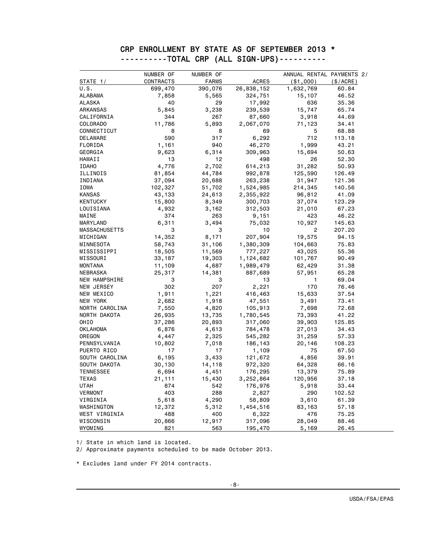### CRP ENROLLMENT BY STATE AS OF SEPTEMBER 2013 \* ----------TOTAL CRP (ALL SIGN-UPS)----------

|                      | NUMBER OF        | NUMBER OF    |                | ANNUAL RENTAL PAYMENTS 2/ |           |
|----------------------|------------------|--------------|----------------|---------------------------|-----------|
| STATE 1/             | <b>CONTRACTS</b> | <b>FARMS</b> | <b>ACRES</b>   | ( \$1,000)                | (\$/ACRE) |
| U.S.                 | 699,470          | 390,076      | 26,838,152     | 1,632,769                 | 60.84     |
| <b>ALABAMA</b>       | 7,858            | 5,565        | 324,751        | 15,107                    | 46.52     |
| <b>ALASKA</b>        | 40               | 29           | 17,992         | 636                       | 35.36     |
| ARKANSAS             | 5,845            | 3,238        | 239,539        | 15,747                    | 65.74     |
| CALIFORNIA           | 344              | 267          | 87,660         | 3,918                     | 44.69     |
| COLORADO             | 11,786           | 5,893        | 2,067,070      | 71,123                    | 34.41     |
| CONNECTICUT          | 8                | 8            | 69             | 5                         | 68.88     |
| DELAWARE             | 590              | 317          | 6,292          | 712                       | 113.18    |
| FLORIDA              | 1,161            | 940          | 46,270         | 1,999                     | 43.21     |
| GEORGIA              | 9,623            | 6,314        | 309,963        | 15,694                    | 50.63     |
| HAWAII               | 13               | 12           | 498            | 26                        | 52.30     |
| <b>IDAHO</b>         | 4,776            | 2,702        | 614,213        | 31,282                    | 50.93     |
| ILLINOIS             | 81,854           | 44,784       | 992,878        | 125,590                   | 126.49    |
| INDIANA              | 37,094           | 20,688       | 263,238        | 31,947                    | 121.36    |
| IOWA                 | 102,327          | 51,702       | 1,524,985      | 214,345                   | 140.56    |
| <b>KANSAS</b>        | 43,133           | 24,613       | 2,355,922      | 96,812                    | 41.09     |
| <b>KENTUCKY</b>      | 15,800           | 8,349        | 300,703        | 37,074                    | 123.29    |
| LOUISIANA            | 4,932            | 3,162        | 312,503        | 21,010                    | 67.23     |
| MAINE                | 374              | 263          | 9,151          | 423                       | 46.22     |
| MARYLAND             | 6,311            | 3,494        | 75,032         | 10,927                    | 145.63    |
| <b>MASSACHUSETTS</b> | 3                | 3            | 10             | 2                         | 207.20    |
| MICHIGAN             | 14,352           | 8,171        | 207,904        | 19,575                    | 94.15     |
| MINNESOTA            | 58,743           | 31,106       | 1,380,309      | 104,663                   | 75.83     |
| MISSISSIPPI          | 18,505           | 11,569       | 777,227        | 43,025                    | 55.36     |
| MISSOURI             | 33,187           | 19,303       | 1,124,682      | 101,767                   | 90.49     |
| <b>MONTANA</b>       | 11,109           | 4,687        | 1,989,479      | 62,429                    | 31.38     |
| NEBRASKA             | 25,317           | 14,381       | 887,689        | 57,951                    | 65.28     |
| NEW HAMPSHIRE        | 3                | 3            | 13             | 1                         | 69.04     |
| NEW JERSEY           | 302              | 207          | 2,221          | 170                       | 76.46     |
| NEW MEXICO           | 1,911            | 1,221        | 416,463        | 15,633                    | 37.54     |
| NEW YORK             | 2,682            | 1,918        | 47,551         | 3,491                     | 73.41     |
| NORTH CAROLINA       | 7,550            | 4,820        | 105,913        | 7,698                     | 72.68     |
| NORTH DAKOTA         | 26,935           | 13,735       | 1,780,545      | 73,393                    | 41.22     |
| OHIO                 | 37,286           | 20,893       | 317,060        | 39,903                    | 125.85    |
| OKLAHOMA             | 6,876            | 4,613        | 784,478        | 27,013                    | 34.43     |
| OREGON               | 4,447            | 2,325        | 545,282        | 31,259                    | 57.33     |
| PENNSYLVANIA         | 10,802           | 7,018        | 186,143        | 20,146                    | 108.23    |
| PUERTO RICO          | 17               | 17           | 1,109          | 75                        | 67.50     |
| SOUTH CAROLINA       | 6,195            | 3,433        | 121,672        | 4,856                     | 39.91     |
| SOUTH DAKOTA         | 30,130           | 14,118       | 972,320        | 64,328                    | 66.16     |
| <b>TENNESSEE</b>     | 6,694            | 4,451        | 176,295        | 13,379                    | 75.89     |
| <b>TEXAS</b>         | 21,111           | 15,430       | 3,252,864      | 120,956                   | 37.18     |
| <b>UTAH</b>          | 874              | 542          | 176,976        | 5,918                     | 33.44     |
| <b>VERMONT</b>       | 403              | 288          | 2,827          | 290                       | 102.52    |
| VIRGINIA             | 5,618            | 4,290        | 58,809         | 3,610                     | 61.39     |
| WASHINGTON           | 12,372           | 5,312        | 1,454,516      | 83,163                    | 57.18     |
| WEST VIRGINIA        | 488              | 400          | 6,322          | 476                       | 75.25     |
| WISCONSIN            | 20,866           | 12,917       | 317,096        | 28,049                    | 88.46     |
| WYOMING              | 821              | 563          | <u>195,470</u> | 5,169                     | 26.45     |

1/ State in which land is located.

2/ Approximate payments scheduled to be made October 2013.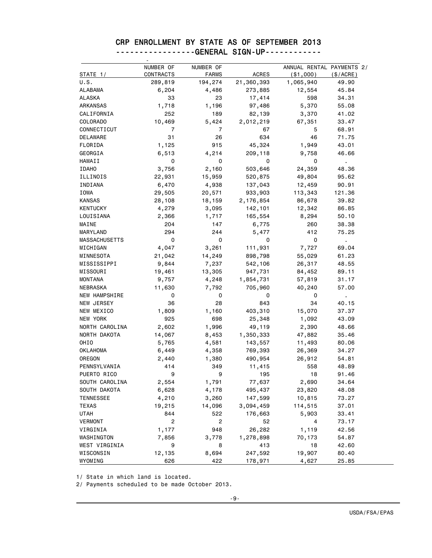# CRP ENROLLMENT BY STATE AS OF SEPTEMBER 2013

|                  | NUMBER OF      |                           |              |                                         |              |
|------------------|----------------|---------------------------|--------------|-----------------------------------------|--------------|
| STATE 1/         | CONTRACTS      | NUMBER OF<br><b>FARMS</b> | <b>ACRES</b> | ANNUAL RENTAL PAYMENTS 2/<br>( \$1,000) | (\$/ACRE)    |
| U.S.             | 289,819        | 194,274                   | 21,360,393   | 1,065,940                               | 49.90        |
| ALABAMA          | 6,204          | 4,486                     | 273,885      | 12,554                                  | 45.84        |
| <b>ALASKA</b>    | 33             | 23                        | 17,414       | 598                                     | 34.31        |
| ARKANSAS         | 1,718          | 1,196                     | 97,486       | 5,370                                   | 55.08        |
| CALIFORNIA       | 252            | 189                       | 82,139       | 3,370                                   | 41.02        |
| <b>COLORADO</b>  | 10,469         | 5,424                     | 2,012,219    | 67,351                                  | 33.47        |
| CONNECTICUT      | $\overline{7}$ | $\overline{7}$            | 67           | 5                                       | 68.91        |
| <b>DELAWARE</b>  | 31             | 26                        | 634          | 46                                      | 71.75        |
| FLORIDA          | 1,125          | 915                       | 45,324       | 1,949                                   | 43.01        |
| GEORGIA          | 6,513          | 4,214                     | 209,118      | 9,758                                   | 46.66        |
| HAWAII           | 0              | 0                         | 0            | 0                                       |              |
| <b>IDAHO</b>     | 3,756          | 2,160                     | 503,646      | 24,359                                  | 48.36        |
| ILLINOIS         | 22,931         | 15,959                    | 520,875      | 49,804                                  | 95.62        |
| INDIANA          | 6,470          | 4,938                     | 137,043      | 12,459                                  | 90.91        |
| IOWA             | 29,505         | 20,571                    | 933,903      | 113,343                                 | 121.36       |
| <b>KANSAS</b>    | 28,108         | 18,159                    | 2,176,854    | 86,678                                  | 39.82        |
| <b>KENTUCKY</b>  | 4,279          | 3,095                     | 142,101      | 12,342                                  | 86.85        |
| LOUISIANA        | 2,366          | 1,717                     | 165,554      | 8,294                                   | 50.10        |
| MAINE            | 204            | 147                       | 6,775        | 260                                     | 38.38        |
| MARYLAND         | 294            | 244                       | 5,477        | 412                                     | 75.25        |
| MASSACHUSETTS    | 0              | 0                         | 0            | 0                                       | $\mathbf{r}$ |
| MICHIGAN         | 4,047          | 3,261                     | 111,931      | 7,727                                   | 69.04        |
| MINNESOTA        | 21,042         | 14,249                    | 898,798      | 55,029                                  | 61.23        |
| MISSISSIPPI      | 9,844          | 7,237                     | 542,106      | 26,317                                  | 48.55        |
| MISSOURI         | 19,461         | 13,305                    | 947,731      | 84,452                                  | 89.11        |
| <b>MONTANA</b>   | 9,757          | 4,248                     | 1,854,731    | 57,819                                  | 31.17        |
| NEBRASKA         | 11,630         | 7,792                     | 705,960      | 40,240                                  | 57.00        |
| NEW HAMPSHIRE    | 0              | 0                         | 0            | 0                                       |              |
| NEW JERSEY       | 36             | 28                        | 843          | 34                                      | 40.15        |
| NEW MEXICO       | 1,809          | 1,160                     | 403,310      | 15,070                                  | 37.37        |
| NEW YORK         | 925            | 698                       | 25,348       | 1,092                                   | 43.09        |
| NORTH CAROLINA   | 2,602          | 1,996                     | 49,119       | 2,390                                   | 48.66        |
| NORTH DAKOTA     | 14,067         | 8,453                     | 1,350,333    | 47,882                                  | 35.46        |
| OHIO             | 5,765          | 4,581                     | 143,557      | 11,493                                  | 80.06        |
| <b>OKLAHOMA</b>  | 6,449          | 4,358                     | 769,393      | 26,369                                  | 34.27        |
| OREGON           | 2,440          | 1,380                     | 490,954      | 26,912                                  | 54.81        |
| PENNSYLVANIA     | 414            | 349                       | 11,415       | 558                                     | 48.89        |
| PUERTO RICO      | 9              | 9                         | 195          | 18                                      | 91.46        |
| SOUTH CAROLINA   | 2,554          | 1,791                     | 77,637       | 2,690                                   | 34.64        |
| SOUTH DAKOTA     | 6,628          | 4,178                     | 495,437      | 23,820                                  | 48.08        |
| <b>TENNESSEE</b> | 4,210          | 3,260                     | 147,599      | 10,815                                  | 73.27        |
| TEXAS            | 19,215         | 14,096                    | 3,094,459    | 114,515                                 | 37.01        |
| <b>UTAH</b>      | 844            | 522                       | 176,663      | 5,903                                   | 33.41        |
| <b>VERMONT</b>   | $\mathbf{2}$   | $\overline{2}$            | 52           | 4                                       | 73.17        |
| VIRGINIA         | 1,177          | 948                       | 26,282       | 1,119                                   | 42.56        |
| WASHINGTON       | 7,856          | 3,778                     | 1,278,898    | 70,173                                  | 54.87        |
| WEST VIRGINIA    | 9              | 8                         | 413          | 18                                      | 42.60        |
| WISCONSIN        | 12,135         | 8,694                     | 247,592      | 19,907                                  | 80.40        |
| WYOMING          | 626            | 422                       | 178,971      | 4,627                                   | 25.85        |

-----------------GENERAL SIGN-UP------------

1/ State in which land is located.

2/ Payments scheduled to be made October 2013.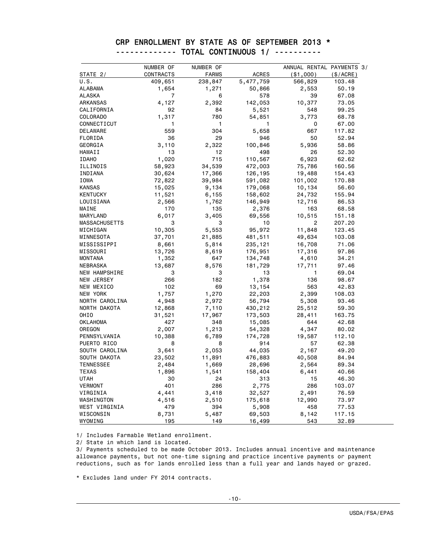|                        | NUMBER OF | NUMBER OF    |                | ANNUAL RENTAL PAYMENTS 3/ |          |
|------------------------|-----------|--------------|----------------|---------------------------|----------|
| STATE 2/               | CONTRACTS | <b>FARMS</b> | <b>ACRES</b>   | ( \$1,000)                | (S/ACRE) |
| U.S.                   | 409,651   | 238,847      | 5,477,759      | 566,829                   | 103.48   |
| ALABAMA                | 1,654     | 1,271        | 50,866         | 2,553                     | 50.19    |
| <b>ALASKA</b>          | 7         | 6            | 578            | 39                        | 67.08    |
| ARKANSAS               | 4,127     | 2,392        | 142,053        | 10,377                    | 73.05    |
| CALIFORNIA             | 92        | 84           | 5,521          | 548                       | 99.25    |
| COLORADO               | 1,317     | 780          | 54,851         | 3,773                     | 68.78    |
| CONNECTICUT            | 1         | 1            | 1              | 0                         | 67.00    |
| DELAWARE               | 559       | 304          |                | 667                       | 117.82   |
| FLORIDA                | 36        | 29           | 5,658<br>946   | 50                        | 52.94    |
|                        | 3,110     |              |                |                           |          |
| GEORGIA                | 13        | 2,322<br>12  | 100,846<br>498 | 5,936                     | 58.86    |
| HAWAII<br><b>IDAHO</b> |           | 715          |                | 26                        | 52.30    |
|                        | 1,020     |              | 110,567        | 6,923                     | 62.62    |
| ILLINOIS               | 58,923    | 34,539       | 472,003        | 75,786                    | 160.56   |
| INDIANA                | 30,624    | 17,366       | 126,195        | 19,488                    | 154.43   |
| IOWA                   | 72,822    | 39,984       | 591,082        | 101,002                   | 170.88   |
| <b>KANSAS</b>          | 15,025    | 9,134        | 179,068        | 10,134                    | 56.60    |
| <b>KENTUCKY</b>        | 11,521    | 6,155        | 158,602        | 24,732                    | 155.94   |
| LOUISIANA              | 2,566     | 1,762        | 146,949        | 12,716                    | 86.53    |
| MAINE                  | 170       | 135          | 2,376          | 163                       | 68.58    |
| MARYLAND               | 6,017     | 3,405        | 69,556         | 10,515                    | 151.18   |
| <b>MASSACHUSETTS</b>   | 3         | 3            | 10             | $\overline{2}$            | 207.20   |
| MICHIGAN               | 10,305    | 5,553        | 95,972         | 11,848                    | 123.45   |
| MINNESOTA              | 37,701    | 21,885       | 481,511        | 49,634                    | 103.08   |
| MISSISSIPPI            | 8,661     | 5,814        | 235,121        | 16,708                    | 71.06    |
| MISSOURI               | 13,726    | 8,619        | 176,951        | 17,316                    | 97.86    |
| <b>MONTANA</b>         | 1,352     | 647          | 134,748        | 4,610                     | 34.21    |
| NEBRASKA               | 13,687    | 8,576        | 181,729        | 17,711                    | 97.46    |
| NEW HAMPSHIRE          | 3         | 3            | 13             | 1                         | 69.04    |
| NEW JERSEY             | 266       | 182          | 1,378          | 136                       | 98.67    |
| NEW MEXICO             | 102       | 69           | 13,154         | 563                       | 42.83    |
| NEW YORK               | 1,757     | 1,270        | 22,203         | 2,399                     | 108.03   |
| NORTH CAROLINA         | 4,948     | 2,972        | 56,794         | 5,308                     | 93.46    |
| NORTH DAKOTA           | 12,868    | 7,110        | 430,212        | 25,512                    | 59.30    |
| <b>OHIO</b>            | 31,521    | 17,967       | 173,503        | 28,411                    | 163.75   |
| <b>OKLAHOMA</b>        | 427       | 348          | 15,085         | 644                       | 42.68    |
| OREGON                 | 2,007     | 1,213        | 54,328         | 4,347                     | 80.02    |
| PENNSYLVANIA           | 10,388    | 6,789        | 174,728        | 19,587                    | 112.10   |
| PUERTO RICO            | 8         | 8            | 914            | 57                        | 62.38    |
| SOUTH CAROLINA         | 3,641     | 2,053        | 44,035         | 2,167                     | 49.20    |
| SOUTH DAKOTA           | 23,502    | 11,891       | 476,883        | 40,508                    | 84.94    |
| <b>TENNESSEE</b>       | 2,484     | 1,669        | 28,696         | 2,564                     | 89.34    |
| <b>TEXAS</b>           | 1,896     | 1,541        | 158,404        | 6,441                     | 40.66    |
| <b>UTAH</b>            | 30        | 24           | 313            | 15                        | 46.30    |
| <b>VERMONT</b>         | 401       | 286          | 2,775          | 286                       | 103.07   |
| VIRGINIA               | 4,441     | 3,418        | 32,527         | 2,491                     | 76.59    |
| WASHINGTON             | 4,516     | 2,510        | 175,618        | 12,990                    | 73.97    |
| WEST VIRGINIA          | 479       | 394          | 5,908          | 458                       | 77.53    |
| WISCONSIN              | 8,731     | 5,487        | 69,503         | 8,142                     | 117.15   |
| WYOMING                | 195       | 149          | 16,499         | 543                       | 32.89    |

#### CRP ENROLLMENT BY STATE AS OF SEPTEMBER 2013 \* ------------- TOTAL CONTINUOUS 1/ ----------

1/ Includes Farmable Wetland enrollment.

2/ State in which land is located.

3/ Payments scheduled to be made October 2013. Includes annual incentive and maintenance allowance payments, but not one-time signing and practice incentive payments or payment reductions, such as for lands enrolled less than a full year and lands hayed or grazed.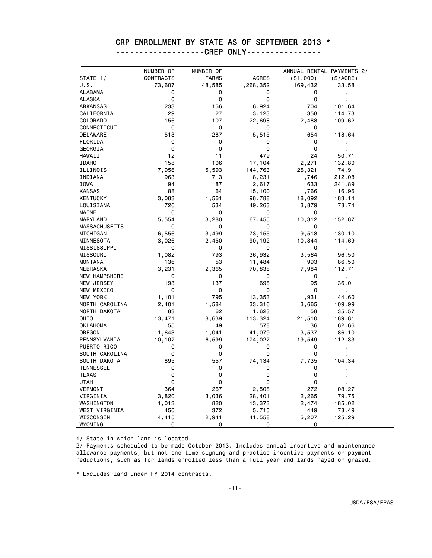#### CRP ENROLLMENT BY STATE AS OF SEPTEMBER 2013 \*

-------------------CREP ONLY----------------

|                                | NUMBER OF | NUMBER OF    |              | ANNUAL RENTAL PAYMENTS 2/ |           |
|--------------------------------|-----------|--------------|--------------|---------------------------|-----------|
| STATE 1/                       | CONTRACTS | <b>FARMS</b> | <b>ACRES</b> | $($ \$1,000 $)$           | (\$/ACRE) |
| U.S.                           | 73,607    | 48,585       | 1,268,352    | 169,432                   | 133.58    |
| ALABAMA                        | 0         | 0            | 0            | 0                         | Ĭ.        |
| <b>ALASKA</b>                  | 0         | 0            | 0            | 0                         |           |
| ARKANSAS                       | 233       | 156          | 6,924        | 704                       | 101.64    |
| CALIFORNIA                     | 29        | 27           | 3,123        | 358                       | 114.73    |
| COLORADO                       | 156       | 107          | 22,698       | 2,488                     | 109.62    |
| CONNECTICUT                    | 0         | 0            | 0            | 0                         |           |
| DELAWARE                       | 513       | 287          | 5,515        | 654                       | 118.64    |
| FLORIDA                        | 0         | 0            | 0            | 0                         |           |
| GEORGIA                        | 0         | 0            | 0            | 0                         |           |
| HAWAII                         | 12        | 11           | 479          | 24                        | 50.71     |
| <b>IDAHO</b>                   | 158       | 106          | 17,104       | 2,271                     | 132.80    |
| ILLINOIS                       | 7,956     | 5,593        | 144,763      | 25,321                    | 174.91    |
| INDIANA                        | 963       | 713          | 8,231        | 1,746                     | 212.08    |
| IOWA                           | 94        | 87           | 2,617        | 633                       | 241.89    |
| <b>KANSAS</b>                  | 88        | 64           | 15,100       | 1,766                     | 116.96    |
| <b>KENTUCKY</b>                | 3,083     | 1,561        | 98,788       | 18,092                    | 183.14    |
| LOUISIANA                      | 726       | 534          | 49,263       | 3,879                     | 78.74     |
| MAINE                          | 0         | 0            | 0            | 0                         |           |
| MARYLAND                       | 5,554     | 3,280        | 67,455       | 10,312                    | 152.87    |
| MASSACHUSETTS                  | 0         | 0            | 0            | 0                         |           |
| MICHIGAN                       | 6,556     | 3,499        | 73,155       | 9,518                     | 130.10    |
| MINNESOTA                      | 3,026     | 2,450        | 90,192       | 10,344                    | 114.69    |
| MISSISSIPPI                    | 0         | 0            | 0            | 0                         | ä,        |
| MISSOURI                       | 1,082     | 793          | 36,932       | 3,564                     | 96.50     |
| <b>MONTANA</b>                 | 136       | 53           | 11,484       | 993                       | 86.50     |
| <b>NEBRASKA</b>                | 3,231     | 2,365        | 70,838       | 7,984                     | 112.71    |
| <b>NEW HAMPSHIRE</b>           | 0         | 0            | 0            | 0                         |           |
| NEW JERSEY                     | 193       | 137          | 698          | 95                        | 136.01    |
| NEW MEXICO                     | 0         | 0            | 0            | 0                         |           |
| NEW YORK                       | 1,101     | 795          | 13,353       | 1,931                     | 144.60    |
| NORTH CAROLINA                 | 2,401     | 1,584        | 33,316       | 3,665                     | 109.99    |
| NORTH DAKOTA                   | 83        | 62           | 1,623        | 58                        | 35.57     |
| OHIO                           | 13,471    | 8,639        | 113,324      | 21,510                    | 189.81    |
| <b>OKLAHOMA</b>                | 55        | 49           | 578          | 36                        | 62.66     |
| OREGON                         | 1,643     | 1,041        | 41,079       | 3,537                     | 86.10     |
| PENNSYLVANIA                   | 10,107    | 6,599        | 174,027      | 19,549                    | 112.33    |
| PUERTO RICO                    | 0         | 0            | 0            | 0                         |           |
|                                | 0         | 0            | 0            | 0                         |           |
| SOUTH CAROLINA<br>SOUTH DAKOTA | 895       | 557          | 74,134       | 7,735                     | 104.34    |
|                                | 0         | 0            | 0            | 0                         |           |
| <b>TENNESSEE</b>               | 0         | 0            | 0            | 0                         |           |
| <b>TEXAS</b>                   |           |              |              |                           |           |
| <b>UTAH</b>                    | 0         | 0            | 0            | 0                         |           |
| <b>VERMONT</b>                 | 364       | 267          | 2,508        | 272                       | 108.27    |
| VIRGINIA                       | 3,820     | 3,036        | 28,401       | 2,265                     | 79.75     |
| WASHINGTON                     | 1,013     | 820          | 13,373       | 2,474                     | 185.02    |
| WEST VIRGINIA                  | 450       | 372          | 5,715        | 449                       | 78.49     |
| WISCONSIN                      | 4,415     | 2,941        | 41,558       | 5,207                     | 125.29    |
| WYOMING                        | 0         | 0            | 0            | 0                         |           |

1/ State in which land is located.

2/ Payments scheduled to be made October 2013. Includes annual incentive and maintenance allowance payments, but not one-time signing and practice incentive payments or payment reductions, such as for lands enrolled less than a full year and lands hayed or grazed.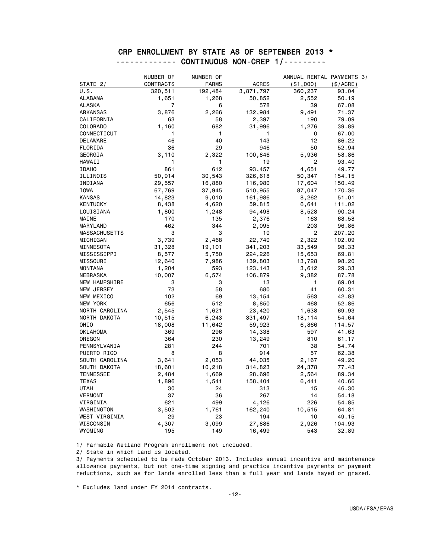|                      | NUMBER OF      | NUMBER OF    |              | ANNUAL RENTAL PAYMENTS 3/ |           |
|----------------------|----------------|--------------|--------------|---------------------------|-----------|
| STATE 2/             | CONTRACTS      | <b>FARMS</b> | <b>ACRES</b> | (\$1,000)                 | (\$/ACRE) |
| U.S.                 | 320,511        | 192,484      | 3,871,797    | 360,237                   | 93.04     |
| ALABAMA              | 1,651          | 1,268        | 50,852       | 2,552                     | 50.19     |
| ALASKA               | $\overline{7}$ | 6            | 578          | 39                        | 67.08     |
| ARKANSAS             | 3,876          | 2,266        | 132,984      | 9,491                     | 71.37     |
| CALIFORNIA           | 63             | 58           | 2,397        | 190                       | 79.09     |
| COLORADO             | 1,160          | 682          | 31,996       | 1,276                     | 39.89     |
| CONNECTICUT          | 1              |              |              | 0                         | 67.00     |
| DELAWARE             | 46             | 1<br>40      | 1<br>143     | 12                        | 86.22     |
|                      |                |              | 946          |                           |           |
| FLORIDA              | 36             | 29           |              | 50                        | 52.94     |
| GEORGIA              | 3,110          | 2,322        | 100,846      | 5,936                     | 58.86     |
| HAWAII               | 1              | 1            | 19           | 2                         | 93.40     |
| <b>IDAHO</b>         | 861            | 612          | 93,457       | 4,651                     | 49.77     |
| ILLINOIS             | 50,914         | 30,543       | 326,618      | 50,347                    | 154.15    |
| INDIANA              | 29,557         | 16,880       | 116,980      | 17,604                    | 150.49    |
| IOWA                 | 67,769         | 37,945       | 510,955      | 87,047                    | 170.36    |
| <b>KANSAS</b>        | 14,823         | 9,010        | 161,986      | 8,262                     | 51.01     |
| <b>KENTUCKY</b>      | 8,438          | 4,620        | 59,815       | 6,641                     | 111.02    |
| LOUISIANA            | 1,800          | 1,248        | 94,498       | 8,528                     | 90.24     |
| MAINE                | 170            | 135          | 2,376        | 163                       | 68.58     |
| MARYLAND             | 462            | 344          | 2,095        | 203                       | 96.86     |
| <b>MASSACHUSETTS</b> | 3              | 3            | 10           | $\overline{2}$            | 207.20    |
| MICHIGAN             | 3,739          | 2,468        | 22,740       | 2,322                     | 102.09    |
| MINNESOTA            | 31,328         | 19,101       | 341,203      | 33,549                    | 98.33     |
| MISSISSIPPI          | 8,577          | 5,750        | 224,226      | 15,653                    | 69.81     |
| MISSOURI             | 12,640         | 7,986        | 139,803      | 13,728                    | 98.20     |
| <b>MONTANA</b>       | 1,204          | 593          | 123,143      | 3,612                     | 29.33     |
| NEBRASKA             | 10,007         | 6,574        | 106,879      | 9,382                     | 87.78     |
| NEW HAMPSHIRE        | 3              | 3            | 13           | 1                         | 69.04     |
| NEW JERSEY           | 73             | 58           | 680          | 41                        | 60.31     |
| NEW MEXICO           | 102            | 69           | 13,154       | 563                       | 42.83     |
| NEW YORK             | 656            | 512          | 8,850        | 468                       | 52.86     |
| NORTH CAROLINA       | 2,545          | 1,621        | 23,420       | 1,638                     | 69.93     |
| NORTH DAKOTA         | 10,515         | 6,243        | 331,497      | 18,114                    | 54.64     |
| <b>OHIO</b>          | 18,008         | 11,642       | 59,923       | 6,866                     | 114.57    |
| <b>OKLAHOMA</b>      | 369            | 296          | 14,338       | 597                       | 41.63     |
| OREGON               | 364            | 230          | 13,249       | 810                       | 61.17     |
| PENNSYLVANIA         | 281            | 244          | 701          | 38                        | 54.74     |
| PUERTO RICO          | 8              | 8            | 914          | 57                        | 62.38     |
| SOUTH CAROLINA       | 3,641          | 2,053        | 44,035       | 2,167                     | 49.20     |
| SOUTH DAKOTA         | 18,601         | 10,218       | 314,823      | 24,378                    | 77.43     |
| <b>TENNESSEE</b>     |                |              |              | 2,564                     | 89.34     |
| <b>TEXAS</b>         | 2,484          | 1,669        | 28,696       |                           |           |
|                      | 1,896          | 1,541        | 158,404      | 6,441                     | 40.66     |
| <b>UTAH</b>          | 30             | 24           | 313          | 15                        | 46.30     |
| <b>VERMONT</b>       | 37             | 36           | 267          | 14                        | 54.18     |
| VIRGINIA             | 621            | 499          | 4,126        | 226                       | 54.85     |
| WASHINGTON           | 3,502          | 1,761        | 162,240      | 10,515                    | 64.81     |
| WEST VIRGINIA        | 29             | 23           | 194          | 10                        | 49.15     |
| WISCONSIN            | 4,307          | 3,099        | 27,886       | 2,926                     | 104.93    |
| WYOMING              | 195            | 149          | 16,499       | 543                       | 32.89     |

#### CRP ENROLLMENT BY STATE AS OF SEPTEMBER 2013 \* ------------- CONTINUOUS NON-CREP 1/---------

1/ Farmable Wetland Program enrollment not included.

2/ State in which land is located.

3/ Payments scheduled to be made October 2013. Includes annual incentive and maintenance allowance payments, but not one-time signing and practice incentive payments or payment reductions, such as for lands enrolled less than a full year and lands hayed or grazed.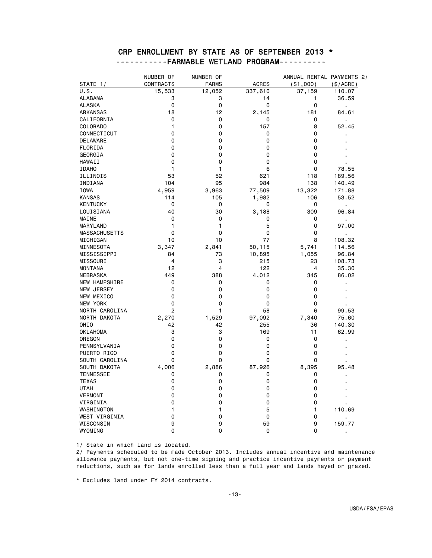|                      | NUMBER OF    | NUMBER OF    |               | ANNUAL RENTAL PAYMENTS 2/ |                         |
|----------------------|--------------|--------------|---------------|---------------------------|-------------------------|
| STATE 1/             | CONTRACTS    | <b>FARMS</b> | <b>ACRES</b>  | ( \$1,000)                | (\$/ACRE)               |
| U.S.                 | 15,533       | 12,052       | 337,610       | 37,159                    | 110.07                  |
| <b>ALABAMA</b>       | 3            | 3            | 14            | 1                         | 36.59                   |
| <b>ALASKA</b>        | 0            | 0            | 0             | 0                         |                         |
| ARKANSAS             | 18           | 12           | 2,145         | 181                       | 84.61                   |
| CALIFORNIA           | 0            | 0            | 0             | 0                         |                         |
| COLORADO             | $\mathbf{1}$ | $\mathbf 0$  | 157           | 8                         | 52.45                   |
| CONNECTICUT          | 0            | 0            | 0             | 0                         |                         |
| <b>DELAWARE</b>      | 0            | 0            | 0             | 0                         |                         |
| FLORIDA              | 0            | 0            | 0             | 0                         |                         |
| GEORGIA              | 0            | 0            | 0             | 0                         |                         |
| HAWAII               | $\mathbf 0$  | $\mathbf 0$  | 0             | $\mathbf 0$               |                         |
| <b>IDAHO</b>         | 1            | 1            | 6             | 0                         | 78.55                   |
| ILLINOIS             | 53           | 52           | 621           | 118                       | 189.56                  |
| INDIANA              | 104          | 95           | 984           | 138                       | 140.49                  |
| <b>IOWA</b>          | 4,959        | 3,963        | 77,509        | 13,322                    | 171.88                  |
| <b>KANSAS</b>        | 114          | 105          | 1,982         | 106                       | 53.52                   |
| <b>KENTUCKY</b>      | $\mathbf 0$  | 0            | 0             | 0                         | $\blacksquare$          |
| LOUISIANA            | 40           | 30           | 3,188         | 309                       | 96.84                   |
| MAINE                | 0            | 0            | 0             | 0                         |                         |
| MARYLAND             | 1            | 1            | 5             | 0                         | $\blacksquare$<br>97.00 |
| <b>MASSACHUSETTS</b> | $\mathbf 0$  | $\mathbf 0$  | 0             | 0                         |                         |
| MICHIGAN             | 10           | 10           | 77            | 8                         | 108.32                  |
| MINNESOTA            | 3,347        | 2,841        | 50,115        | 5,741                     | 114.56                  |
| MISSISSIPPI          | 84           | 73           | 10,895        | 1,055                     | 96.84                   |
| MISSOURI             | 4            | 3            | 215           | 23                        | 108.73                  |
| <b>MONTANA</b>       | 12           | 4            | 122           | 4                         | 35.30                   |
| NEBRASKA             | 449          | 388          | 4,012         | 345                       | 86.02                   |
| <b>NEW HAMPSHIRE</b> | 0            | 0            | 0             | 0                         |                         |
| <b>NEW JERSEY</b>    | 0            | 0            | 0             | 0                         |                         |
| NEW MEXICO           | 0            | $\mathbf 0$  | 0             | 0                         |                         |
| NEW YORK             | 0            | $\mathbf 0$  | 0             | 0                         |                         |
| NORTH CAROLINA       | 2            | 1            | 58            | 6                         | 99.53                   |
|                      |              |              |               |                           | 75.60                   |
| NORTH DAKOTA<br>OHIO | 2,270<br>42  | 1,529<br>42  | 97,092<br>255 | 7,340<br>36               | 140.30                  |
|                      | 3            | 3            | 169           | 11                        | 62.99                   |
| <b>OKLAHOMA</b>      | 0            | 0            | 0             | 0                         |                         |
| OREGON               | 0            | 0            | 0             | 0                         |                         |
| PENNSYLVANIA         | 0            |              |               |                           |                         |
| PUERTO RICO          |              | 0            | 0             | 0                         |                         |
| SOUTH CAROLINA       | 0            | 0            | 0             | 0                         |                         |
| SOUTH DAKOTA         | 4,006        | 2,886        | 87,926        | 8,395                     | 95.48                   |
| <b>TENNESSEE</b>     | 0            | 0            | 0             | 0                         |                         |
| <b>TEXAS</b>         | 0            | 0            | 0             | 0                         |                         |
| <b>UTAH</b>          | 0            | 0            | 0             | 0                         |                         |
| <b>VERMONT</b>       | 0            | 0            | 0             | 0                         |                         |
| VIRGINIA             | 0            | 0            | 0             | 0                         |                         |
| WASHINGTON           | 1            | 1            | 5             | 1                         | 110.69                  |
| WEST VIRGINIA        | 0            | 0            | 0             | 0                         |                         |
| WISCONSIN            | 9            | 9            | 59            | 9                         | 159.77                  |
| WYOMING              | 0            | 0            | 0             | 0                         |                         |

#### CRP ENROLLMENT BY STATE AS OF SEPTEMBER 2013 \* -----------FARMABLE WETLAND PROGRAM----------

1/ State in which land is located.

2/ Payments scheduled to be made October 2013. Includes annual incentive and maintenance allowance payments, but not one-time signing and practice incentive payments or payment reductions, such as for lands enrolled less than a full year and lands hayed or grazed.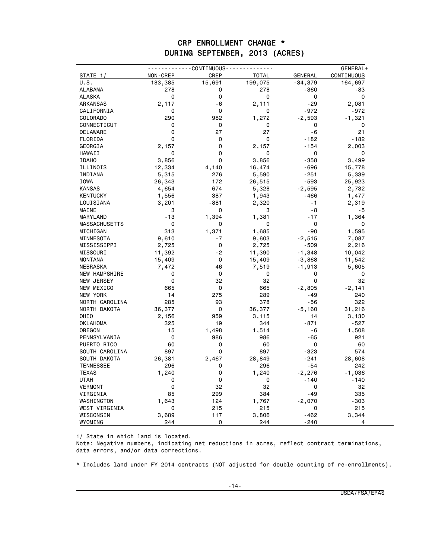### CRP ENROLLMENT CHANGE \* DURING SEPTEMBER, 2013 (ACRES)

|                      |                 | ------CONTINUOUS---- |              |                | GENERAL+          |
|----------------------|-----------------|----------------------|--------------|----------------|-------------------|
| <b>STATE_1/</b>      | <b>NON-CREP</b> | CREP                 | <b>TOTAL</b> | <b>GENERAL</b> | <b>CONTINUOUS</b> |
| U.S.                 | 183,385         | 15,691               | 199,075      | $-34,379$      | 164,697           |
| <b>ALABAMA</b>       | 278             | 0                    | 278          | $-360$         | -83               |
| <b>ALASKA</b>        | 0               | 0                    | 0            | 0              | 0                 |
| ARKANSAS             | 2,117           | $-6$                 | 2,111        | - 29           | 2,081             |
| CALIFORNIA           | 0               | $\Omega$             | 0            | $-972$         | $-972$            |
| <b>COLORADO</b>      | 290             | 982                  | 1,272        | $-2,593$       | $-1,321$          |
| CONNECTICUT          | 0               | 0                    | 0            | 0              | 0                 |
| DELAWARE             | $\mathbf 0$     | 27                   | 27           | $-6$           | 21                |
| FLORIDA              | $\mathbf 0$     | 0                    | 0            | $-182$         | $-182$            |
| GEORGIA              | 2,157           | 0                    | 2,157        | $-154$         | 2,003             |
| HAWAII               | 0               | 0                    | 0            | 0              | 0                 |
| <b>IDAHO</b>         | 3,856           | 0                    | 3,856        | $-358$         | 3,499             |
| ILLINOIS             | 12,334          | 4,140                | 16,474       | -696           | 15,778            |
| INDIANA              | 5,315           | 276                  | 5,590        | -251           | 5,339             |
| <b>IOWA</b>          | 26,343          | 172                  | 26,515       | $-593$         | 25,923            |
| <b>KANSAS</b>        | 4,654           | 674                  | 5,328        | $-2,595$       | 2,732             |
| <b>KENTUCKY</b>      | 1,556           | 387                  | 1,943        | -466           | 1,477             |
| LOUISIANA            | 3,201           | $-881$               | 2,320        | $-1$           | 2,319             |
| MAINE                | 3               | 0                    | 3            | $-8$           | $-5$              |
| MARYLAND             | $-13$           | 1,394                | 1,381        | $-17$          | 1,364             |
| <b>MASSACHUSETTS</b> | 0               | 0                    | 0            | $\Omega$       | 0                 |
| MICHIGAN             | 313             | 1,371                | 1,685        | $-90$          | 1,595             |
| MINNESOTA            | 9,610           | $-7$                 | 9,603        | -2,515         | 7,087             |
| MISSISSIPPI          | 2,725           | $\mathbf 0$          | 2,725        | $-509$         | 2,216             |
| MISSOURI             | 11,392          | $-2$                 | 11,390       | $-1,348$       | 10,042            |
| <b>MONTANA</b>       | 15,409          | 0                    | 15,409       | -3,868         | 11,542            |
| NEBRASKA             | 7,472           | 46                   | 7,519        | -1,913         | 5,605             |
| <b>NEW HAMPSHIRE</b> | 0               | 0                    | 0            | 0              | 0                 |
| NEW JERSEY           | 0               | 32                   | 32           | 0              | 32                |
| NEW MEXICO           | 665             | 0                    | 665          | -2,805         | $-2,141$          |
| <b>NEW YORK</b>      | 14              | 275                  | 289          | $-49$          | 240               |
| NORTH CAROLINA       | 285             | 93                   | 378          | $-56$          | 322               |
| NORTH DAKOTA         | 36,377          | 0                    | 36,377       | -5,160         | 31,216            |
| OHIO                 | 2,156           | 959                  | 3,115        | 14             | 3,130             |
| <b>OKLAHOMA</b>      | 325             | 19                   | 344          | $-871$         | $-527$            |
| OREGON               | 15              | 1,498                | 1,514        | $-6$           | 1,508             |
| PENNSYLVANIA         | 0               | 986                  | 986          | $-65$          | 921               |
| PUERTO RICO          | 60              | 0                    | 60           | 0              | 60                |
| SOUTH CAROLINA       | 897             | 0                    | 897          | -323           | 574               |
| SOUTH DAKOTA         | 26,381          | 2,467                | 28,849       | $-241$         | 28,608            |
| <b>TENNESSEE</b>     | 296             | 0                    | 296          | $-54$          | 242               |
| <b>TEXAS</b>         | 1,240           | 0                    | 1,240        | $-2,276$       | -1,036            |
| UTAH                 | 0               | 0                    | 0            | $-140$         | $-140$            |
| <b>VERMONT</b>       | 0               | 32                   | 32           | 0              | 32                |
| VIRGINIA             | 85              | 299                  | 384          | $-49$          | 335               |
| WASHINGTON           | 1,643           | 124                  | 1,767        | -2,070         | $-303$            |
| WEST VIRGINIA        | 0               | 215                  | 215          | 0              | 215               |
| WISCONSIN            | 3,689           | 117                  | 3,806        | -462           | 3,344             |
| WYOMING              | 244             | 0                    | 244          | -240           | 4                 |

1/ State in which land is located.

Note: Negative numbers, indicating net reductions in acres, reflect contract terminations, data errors, and/or data corrections.

\* Includes land under FY 2014 contracts (NOT adjusted for double counting of re-enrollments).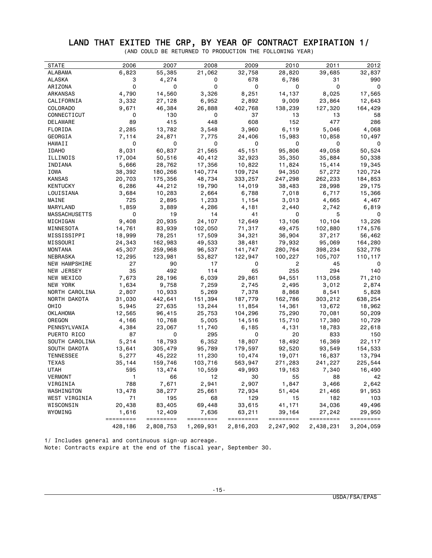#### LAND THAT EXITED THE CRP, BY YEAR OF CONTRACT EXPIRATION 1/

(AND COULD BE RETURNED TO PRODUCTION THE FOLLOWING YEAR)

| <b>STATE</b>         | 2006               | 2007                | 2008               | 2009                | 2010                | 2011                | 2012                |
|----------------------|--------------------|---------------------|--------------------|---------------------|---------------------|---------------------|---------------------|
| ALABAMA              | 6,823              | 55,385              | 21,062             | 32,758              | 28,820              | 39,685              | 32,837              |
| ALASKA               | 3                  | 4,274               | 0                  | 678                 | 6,786               | 31                  | 990                 |
| ARIZONA              | 0                  | 0                   | 0                  | 0                   | 0                   | 0                   | 0                   |
| ARKANSAS             | 4,790              | 14,560              | 3,326              | 8,251               | 14,137              | 8,025               | 17,565              |
| CALIFORNIA           | 3,332              | 27,128              | 6,952              | 2,892               | 9,009               | 23,864              | 12,643              |
| COLORADO             | 9,671              | 46,384              | 26,888             | 402,768             | 138,239             | 127,320             | 164,429             |
| CONNECTICUT          | 0                  | 130                 | 0                  | 37                  | 13                  | 13                  | 58                  |
| DELAWARE             | 89                 | 415                 | 448                | 608                 | 152                 | 477                 | 286                 |
| FLORIDA              | 2,285              | 13,782              | 3,548              | 3,960               | 6,119               | 5,046               | 4,068               |
| GEORGIA              | 7,114              | 24,871              | 7,775              |                     |                     | 10,858              |                     |
|                      | 0                  | 0                   | 0                  | 24,406<br>0         | 15,983<br>0         | 0                   | 10,497<br>0         |
| HAWAII               |                    |                     |                    |                     |                     |                     |                     |
| <b>IDAHO</b>         | 8,031              | 60,837              | 21,565             | 45,151              | 95,806              | 49,058              | 50,524              |
| ILLINOIS             | 17,004             | 50,516              | 40,412             | 32,923              | 35,350              | 35,884              | 50,338              |
| INDIANA              | 5,666              | 28,762              | 17,356             | 10,822              | 11,824              | 15,414              | 19,345              |
| IOWA                 | 38,392             | 180,266             | 140,774            | 109,724             | 94,350              | 57,272              | 120,724             |
| KANSAS               | 20,703             | 175,356             | 48,734             | 333,257             | 247,298             | 262,233             | 184,853             |
| KENTUCKY             | 6,286              | 44,212              | 19,790             | 14,019              | 38,483              | 28,998              | 29,175              |
| LOUISIANA            | 3,684              | 10,283              | 2,664              | 6,788               | 7,018               | 6,717               | 15,366              |
| MAINE                | 725                | 2,895               | 1,233              | 1,154               | 3,013               | 4,665               | 4,467               |
| MARYLAND             | 1,859              | 3,889               | 4,286              | 4,181               | 2,440               | 2,742               | 6,819               |
| <b>MASSACHUSETTS</b> | 0                  | 19                  | 14                 | 41                  | 0                   | 5                   | 0                   |
| MICHIGAN             | 9,408              | 20,935              | 24,107             | 12,649              | 13,106              | 10,104              | 13,226              |
| MINNESOTA            | 14,761             | 83,939              | 102,050            | 71,317              | 49,475              | 102,880             | 174,576             |
| MISSISSIPPI          | 18,999             | 78,251              | 17,509             | 34,321              | 36,904              | 37,217              | 56,462              |
| MISSOURI             | 24,343             | 162,983             | 49,533             | 38,481              | 79,932              | 95,069              | 164,280             |
| MONTANA              | 45,307             | 259,968             | 96,537             | 141,747             | 280,764             | 398,234             | 532,776             |
| NEBRASKA             | 12,295             | 123,981             | 53,827             | 122,947             | 100,227             | 105,707             | 110,117             |
| NEW HAMPSHIRE        | 27                 | 90                  | 17                 | 0                   | 2                   | 45                  | 0                   |
| NEW JERSEY           | 35                 | 492                 | 114                | 65                  | 255                 | 294                 | 140                 |
| NEW MEXICO           | 7,673              | 28,196              | 6,039              | 29,861              | 94,551              | 113,058             | 71,210              |
| NEW YORK             | 1,634              | 9,758               | 7,259              | 2,745               | 2,495               | 3,012               | 2,874               |
| NORTH CAROLINA       | 2,807              | 10,933              | 5,269              | 7,378               | 8,868               | 8,541               | 5,828               |
| NORTH DAKOTA         | 31,030             | 442,641             | 151,394            | 187,779             | 162,786             | 303,212             | 638,254             |
| OHIO                 | 5,945              | 27,635              | 13,244             | 11,854              | 14,361              | 13,672              | 18,962              |
| OKLAHOMA             | 12,565             | 96,415              | 25,753             | 104,296             | 75,290              | 70,081              | 50,209              |
| OREGON               | 4,166              | 10,768              | 5,005              | 14,516              | 15,710              | 17,380              | 10,729              |
| PENNSYLVANIA         | 4,384              | 23,067              | 11,740             | 6,185               | 4,131               | 18,783              | 22,618              |
| PUERTO RICO          | 87                 | 0                   | 295                | 0                   | 20                  | 833                 | 150                 |
| SOUTH CAROLINA       | 5,214              | 18,793              | 6,352              | 18,807              | 18,492              | 16,369              | 22,117              |
| SOUTH DAKOTA         | 13,641             | 305,479             | 95,789             | 179,597             | 92,520              | 93,549              | 154,533             |
| <b>TENNESSEE</b>     | 5,277              | 45,222              | 11,230             | 10,474              | 19,071              | 16,837              | 13,794              |
| TEXAS                | 35,144             | 159,746             | 103,716            | 563,947             | 271,283             | 241,227             | 225,544             |
|                      | 595                |                     |                    |                     |                     |                     |                     |
| UTAH                 |                    | 13,474              | 10,559             | 49,993              | 19,163              | 7,340               | 16,490              |
| <b>VERMONT</b>       | 1                  | 66                  | 12                 | 30                  | 55                  | 88                  | 42                  |
| VIRGINIA             | 788                | 7,671               | 2,941              | 2,907               | 1,847               | 3,466               | 2,642               |
| WASHINGTON           | 13,478             | 38,277              | 25,661             | 72,934              | 51,404              | 21,466              | 91,953              |
| WEST VIRGINIA        | 71                 | 195                 | 68                 | 129                 | 15                  | 182                 | 103                 |
| WISCONSIN            | 20,438             | 83,405              | 69,448             | 33,615              | 41,171              | 34,036              | 49,496              |
| WYOMING              | 1,616<br>========= | 12,409<br>========= | 7,636<br>========= | 63,211<br>========= | 39,164<br>========= | 27,242<br>========= | 29,950<br>========= |
|                      | 428,186            | 2,808,753           | 1,269,931          | 2,816,203           | 2,247,902           | 2,438,231           | 3,204,059           |

1/ Includes general and continuous sign-up acreage. Note: Contracts expire at the end of the fiscal year, September 30.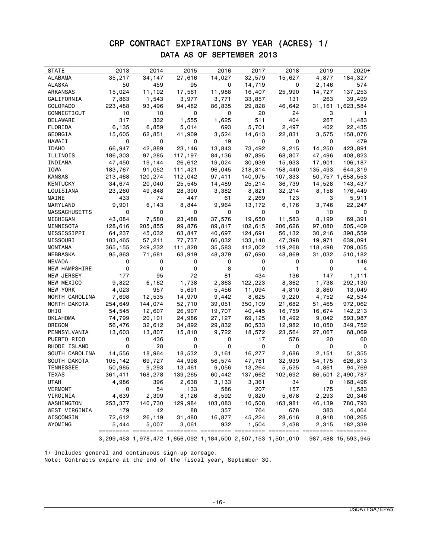### CRP CONTRACT EXPIRATIONS BY YEAR (ACRES) 1/ DATA AS OF SEPTEMBER 2013

| <b>STATE</b>   | 2013    | 2014                                                        | 2015    | 2016    | 2017    | 2018    | 2019    | 2020+              |
|----------------|---------|-------------------------------------------------------------|---------|---------|---------|---------|---------|--------------------|
| ALABAMA        | 35,217  | 34,147                                                      | 27,616  | 14,027  | 32,579  | 15,627  | 4,877   | 184,327            |
| ALASKA         | 50      | 459                                                         | 95      | 0       | 14,719  | 0       | 2,146   | 574                |
| ARKANSAS       | 15,024  | 11,102                                                      | 17,561  | 11,988  | 16,407  | 25,990  | 14,727  | 137,253            |
| CALIFORNIA     | 7,863   | 1,543                                                       | 3,977   | 3,771   | 33,857  | 131     | 263     | 39,499             |
| COLORADO       | 223,488 | 93,496                                                      | 94,482  | 86,835  | 29,828  | 46,642  |         | 31,161 1,623,584   |
| CONNECTICUT    | 10      | 10                                                          | 0       | 0       | 20      | 24      | 3       |                    |
| DELAWARE       | 317     | 332                                                         | 1,555   | 1,625   | 511     | 404     | 267     | 1,483              |
| FLORIDA        | 6,135   | 6,859                                                       | 5,014   | 693     | 5,701   | 2,497   | 402     | 22,435             |
| GEORGIA        | 15,605  | 62,851                                                      | 41,909  | 3,524   | 14,613  | 22,831  | 3,575   | 158,076            |
| HAWAII         | 0       | 0                                                           | 0       | 19      | 0       | 0       | 0       | 479                |
| <b>IDAHO</b>   | 66,947  | 42,889                                                      | 23,146  | 13,843  | 73,492  | 9,215   | 14,250  | 423,891            |
| ILLINOIS       | 186,303 | 97,285                                                      | 117,197 | 84,136  | 97,895  | 68,807  | 47,496  | 408,823            |
| INDIANA        | 47,450  | 19,144                                                      | 26,612  | 19,024  | 30,939  | 15,933  | 17,901  | 106,187            |
| IOWA           | 183,767 | 91,052                                                      | 111,421 | 96,045  | 218,814 | 158,440 | 135,493 | 644,319            |
| KANSAS         | 213,468 | 120,274                                                     | 112,042 | 97,411  | 140,975 | 107,333 |         | 50,757 1,658,553   |
| KENTUCKY       | 34,674  | 20,040                                                      | 25,545  | 14,489  | 25,214  | 36,739  | 14,528  | 143,437            |
| LOUISIANA      | 23,260  | 49,848                                                      | 28,390  | 3,382   | 8,821   | 32,214  | 8,158   | 176,449            |
| MAINE          | 433     | 74                                                          | 447     | 61      | 2,269   | 123     | 3       | 5,911              |
| MARYLAND       | 9,901   | 6,143                                                       | 8,844   | 9,964   | 13,172  | 6,176   | 3,746   | 22,247             |
| MASSACHUSETTS  | 0       | 0                                                           | 0       | 0       | 0       | 0       | 10      | 0                  |
| MICHIGAN       | 43,084  | 7,580                                                       | 23,488  | 37,576  | 19,650  | 11,583  | 8,199   | 69,391             |
| MINNESOTA      | 128,616 | 205,855                                                     | 99,876  | 89,817  | 102,615 | 206,626 | 97,080  | 505,409            |
| MISSISSIPPI    | 64,237  | 45,032                                                      | 63,847  | 40,697  | 124,691 | 56,132  | 30,216  | 398,559            |
| MISSOURI       | 183,465 | 57,211                                                      | 77,737  | 66,032  | 133,148 | 47,398  | 19,971  | 639,091            |
| MONTANA        | 365,155 | 249,232                                                     | 111,828 | 35,583  | 412,002 | 119,268 | 118,498 | 709,055            |
| NEBRASKA       | 95,863  | 71,681                                                      | 63,919  | 48,379  | 67,690  | 48,869  | 31,032  | 510,182            |
| NEVADA         | 0       | 0                                                           | 0       | 0       | 0       | 0       | 0       | 146                |
| NEW HAMPSHIRE  | 0       | 0                                                           | 0       | 8       | 0       | 1       | 0       | 4                  |
| NEW JERSEY     | 177     | 95                                                          | 72      | 81      | 434     | 136     | 147     | 1,111              |
| NEW MEXICO     | 9,822   | 6,162                                                       | 1,738   | 2,363   | 122,223 | 8,362   | 1,738   | 292,130            |
| NEW YORK       | 4,023   | 957                                                         | 5,691   | 5,456   | 11,094  | 4,810   | 3,860   | 13,049             |
| NORTH CAROLINA | 7,698   | 12,535                                                      | 14,970  | 9,442   | 8,625   | 9,220   | 4,752   | 42,534             |
| NORTH DAKOTA   | 254,649 | 144,074                                                     | 52,710  | 39,051  | 350,109 | 21,682  | 51,465  | 972,062            |
| OHIO           | 54,545  | 12,607                                                      | 26,907  | 19,707  | 40,445  | 16,759  | 16,674  | 142,213            |
| OKLAHOMA       | 74,799  | 20,101                                                      | 24,986  | 27,127  | 69,125  | 18,492  | 9,042   | 593,987            |
| OREGON         | 56,476  | 32,612                                                      | 34,892  | 29,832  | 80,533  | 12,982  | 10,050  | 349,752            |
| PENNSYLVANIA   | 13,603  | 13,807                                                      | 15,810  | 9,722   | 18,572  | 23,564  | 27,067  | 68,069             |
| PUERTO RICO    | 0       | 436                                                         | 0       | 0       | 17      | 576     | 20      | 60                 |
| RHODE ISLAND   | 0       | 28                                                          | 0       | 0       | 0       | 0       | 0       | 0                  |
| SOUTH CAROLINA | 14,556  | 18,964                                                      | 18,532  | 3,161   | 16,277  | 2,686   | 2,151   | 51,355             |
| SOUTH DAKOTA   | 105,142 | 69,727                                                      | 44,998  | 56,574  | 47,761  | 32,939  | 54,175  | 626,813            |
| TENNESSEE      | 50,985  | 9,293                                                       | 13,461  | 9,056   | 13,264  | 5,525   | 4,861   | 94,769             |
| TEXAS          | 361,411 | 168,278                                                     | 139,265 | 60,442  | 137,662 | 102,692 | 86,501  | 2,490,787          |
| UTAH           | 4,986   | 396                                                         | 2,638   | 3,133   | 3,361   | 34      | 0       | 168,496            |
| <b>VERMONT</b> | 0       | 54                                                          | 133     | 586     | 207     | 157     | 175     | 1,583              |
| VIRGINIA       | 4,639   | 2,309                                                       | 8,126   | 8,592   | 9,820   | 5,678   | 2,293   | 20,346             |
| WASHINGTON     | 253,377 | 140,730                                                     | 129,984 | 103,083 | 10,508  | 163,981 | 46,139  | 780,793            |
| WEST VIRGINIA  | 179     | 42                                                          | 88      | 357     | 764     | 678     | 383     | 4,064              |
| WISCONSIN      | 72,612  | 26,119                                                      | 31,480  | 16,877  | 45,224  | 28,616  | 8,918   | 108,265            |
| WYOMING        | 5,444   | 5,007                                                       | 3,061   | 932     | 1,504   | 2,438   | 2,315   | 182,339            |
|                |         |                                                             |         |         |         |         |         |                    |
|                |         | 3,299,453 1,978,472 1,656,092 1,184,500 2,607,153 1,501,010 |         |         |         |         |         | 987,488 15,593,945 |

1/ Includes general and continuous sign-up acreage. Note: Contracts expire at the end of the fiscal year, September 30.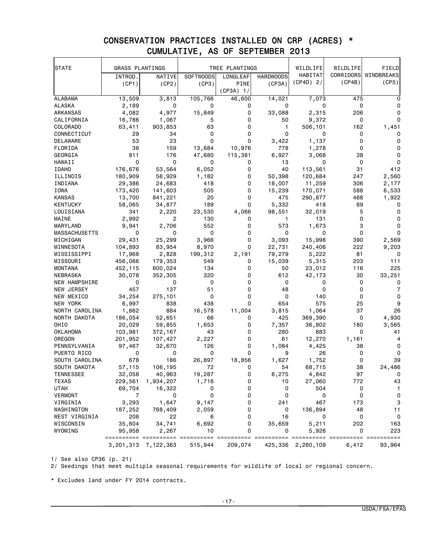| <b>STATE</b>         | <b>GRASS PLANTINGS</b> |                     |                  | TREE PLANTINGS |                  | WILDLIFE          | WILDLIFE  | FIELD        |
|----------------------|------------------------|---------------------|------------------|----------------|------------------|-------------------|-----------|--------------|
|                      | INTROD.                | NATIVE              | <b>SOFTWOODS</b> | LONGLEAF       | <b>HARDWOODS</b> | HABITAT           | CORRIDORS | WINDBREAKS   |
|                      | (CP1)                  | (CP2)               | (CP3)            | <b>PINE</b>    | (CP3A)           | $(CP4D)$ 2/       | (CP4B)    | (CP5)        |
|                      |                        |                     |                  | $(CP3A)$ 1/    |                  |                   |           |              |
| <b>ALABAMA</b>       | 13,509                 | 3,813               | 105,766          | 46,600         | 14,021           | 7,073             | 475       |              |
| ALASKA               | 2,189                  | 0                   | 0                | 0              | 0                | 0                 | 0         | 0            |
| ARKANSAS             | 4,082                  | 4,977               | 15,849           | 0              | 33,088           | 2,315             | 206       | 0            |
| CALIFORNIA           | 16,786                 | 1,067               | 5                | 0              | 50               | 9,372             | 0         | 0            |
| COLORADO             | 63,411                 | 903,853             | 63               | 0              | 1                | 506,101           | 162       | 1,451        |
| CONNECTICUT          | 29                     | 34                  | 0                | 0              | 0                | 0                 | 0         | 0            |
| <b>DELAWARE</b>      | 53                     | 23                  | 0                | 0              | 3,422            | 1,137             | 0         | 0            |
| FLORIDA              | 38                     | 159                 | 13,684           | 10,976         | 778              | 1,278             | 0         | 0            |
| GEORGIA              | 811                    | 176                 | 47,680           | 115,381        | 6,927            | 3,068             | 38        | $\Omega$     |
| HAWAII               | 0                      | 0                   | 0                | 0              | 13               | 0                 | 0         | 0            |
| <b>IDAHO</b>         | 176,676                | 53,564              | 6,052            | 0              | 40               | 113,561           | 31        | 412          |
| ILLINOIS             | 180,909                | 56,929              | 1,182            | 0              | 50,398           | 120,684           | 247       | 2,560        |
| INDIANA              | 29,386                 | 24,683              | 418              | 0              | 18,007           | 11,259            | 306       | 2,177        |
| IOWA                 | 173,420                | 141,603             | 505              | 0              | 15,239           | 170,071           | 588       | 6,533        |
| <b>KANSAS</b>        | 13,700                 | 841,221             | 20               | 0              | 475              | 290,877           | 468       | 1,922        |
| <b>KENTUCKY</b>      | 58,065                 | 34,877              | 189              | 0              | 5,332            | 418               | 69        | 0            |
| LOUISIANA            | 341                    | 2,220               | 23,530           | 4,066          | 98,551           | 32,019            | 5         | 0            |
| MAINE                | 2,992                  | 2                   | 130              | 0              | $\mathbf{1}$     | 131               | 0         | $\Omega$     |
| MARYLAND             | 9,941                  | 2,706               | 552              | 0              | 573              | 1,673             | 3         | 0            |
| <b>MASSACHUSETTS</b> | 0                      | 0                   | 0                | 0              | 0                | 0                 | 0         | $\Omega$     |
| MICHIGAN             | 29,431                 | 25,299              | 3,966            | 0              | 3,093            | 15,998            | 390       | 2,569        |
| MINNESOTA            | 104,893                | 83,954              | 8,970            | 0              | 22,731           | 240,406           | 222       | 9,203        |
| MISSISSIPPI          | 17,968                 | 2,828               | 199,312          | 2,191          | 79,279           | 5,222             | 81        | 0            |
| MISSOURI             | 456,066                | 179,353             | 549              | 0              | 15,039           | 5,315             | 203       | 111          |
| <b>MONTANA</b>       | 452,115                | 600,024             | 134              | 0              | 50               | 23,012            | 116       | 225          |
| NEBRASKA             | 30,078                 | 352,305             | 320              | 0              | 612              | 42,173            | 30        | 33,251       |
| NEW HAMPSHIRE        | 0                      | 0                   | 0                | 0              | 0                | 0                 | 0         | 0            |
| NEW JERSEY           | 457                    | 137                 | 51               | 0              | 48               | 0                 | 0         | 7            |
| NEW MEXICO           | 34,254                 | 275,101             | $\mathbf 0$      | 0              | 0                | 140               | 0         | 0            |
| NEW YORK             | 6,997                  | 838                 | 438              | 0              | 654              | 575               | 25        | 9            |
| NORTH CAROLINA       | 1,662                  | 884                 | 16,578           | 11,004         | 3,815            | 1,064             | 37        | 26           |
| NORTH DAKOTA         | 186,054                | 52,651              | 66               | 0              | 425              | 369,390           | 0         | 4,930        |
| OHIO                 | 20,029                 | 59,855              | 1,653            | 0              | 7,357            | 36,802            | 180       | 3,565        |
| OKLAHOMA             | 103,981                | 372,167             | 43               | 0              | 280              | 883               | 0         | 41           |
| OREGON               | 201,952                | 107,427             | 2,227            | 0              | 61               | 12,270            | 1,161     | 4            |
| PENNSYLVANIA         | 97,467                 | 32,670              | 126              | 0              | 1,084            | 4,425             | 38        | 0            |
| PUERTO RICO          | 0                      | 0                   | 0                | 0              | 9                | 26                | 0         | 0            |
| SOUTH CAROLINA       | 678                    | 186                 | 26,897           | 18,856         | 1,627            | 1,752             | 0         | 39           |
| SOUTH DAKOTA         | 57,115                 | 106,195             | 72               | 0              | 54               | 68,715            | 38        | 24,486       |
| TENNESSEE            | 32,058                 | 40,963              | 19,287           | 0              | 6,275            | 4,842             | 97        | $\mathbf{0}$ |
| <b>TEXAS</b>         | 229,561                | 1,934,207           | 1,716            | 0              | 10               | 27,060            | 772       | 43           |
| <b>UTAH</b>          | 69,704                 | 16,322              | 0                | 0              | 0                | 504               | 0         | $\mathbf{1}$ |
| VERMONT              | $\overline{7}$         | 0                   | 0                | 0              | 0                | 0                 | 0         | $\mathsf 0$  |
| VIRGINIA             | 3,293                  | 1,647               | 9,147            | 0              | 241              | 467               | 173       | 3            |
| WASHINGTON           | 187,252                | 768,409             | 2,059            | 0              | 0                | 136,894           | 48        | 11           |
| WEST VIRGINIA        | 208                    | 22                  | 6                | 0              | 16               | 0                 | 0         | 0            |
| WISCONSIN            | 35,604                 | 34,741              | 6,692            | 0              | 35,659           | 5,211             | 202       | 163          |
| WYOMING              | 95,958<br>==========   | 2,267<br>===        | 10<br>========== | 0              | 0                | 5,926             | 0         | 223          |
|                      |                        | 3,201,313 7,122,363 | 515,944          | 209,074        |                  | 425,336 2,280,109 | 6,412     | 93,964       |

### CONSERVATION PRACTICES INSTALLED ON CRP (ACRES) \* CUMULATIVE, AS OF SEPTEMBER 2013

1/ See also CP36 (p. 21)

 $2/$  Seedings that meet multiple seasonal requirements for wildlife of local or regional concern.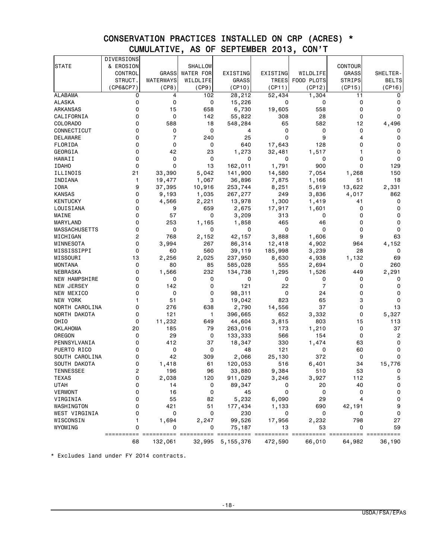### CONSERVATION PRACTICES INSTALLED ON CRP (ACRES) \* CUMULATIVE, AS OF SEPTEMBER 2013, CON'T

|                      | DIVERSIONS       |                 |                  |                  |          |                |                |                |
|----------------------|------------------|-----------------|------------------|------------------|----------|----------------|----------------|----------------|
| <b>STATE</b>         | & EROSION        |                 | SHALLOW          |                  |          |                | <b>CONTOUR</b> |                |
|                      | CONTROL          | <b>GRASS</b>    | <b>WATER FOR</b> | EXISTING         | EXISTING | WILDLIFE       | <b>GRASS</b>   | SHELTER-       |
|                      | STRUCT.          | WATERWAYS       | WILDLIFE         | GRASS            | TREES    | FOOD PLOTS     | <b>STRIPS</b>  | <b>BELTS</b>   |
|                      | (CP6&CP7)        | (CP8)           | (CP9)            | (CP10)           | (CP11)   | (CP12)         | (CP15)         | (CP16)         |
| <b>ALABAMA</b>       | 0                | 4               | 102              | 28,212           | 52,434   | 1,304          | 11             | 0              |
| <b>ALASKA</b>        | 0                | 0               | 0                | 15,226           | 0        | 0              | 0              | 0              |
| ARKANSAS             | 0                | 15              | 658              | 6,730            | 19,605   | 558            | 0              | 0              |
| CALIFORNIA           | 0                | 0               | 142              | 55,822           | 308      | 28             | 0              | 0              |
| COLORADO             | 0                | 588             | 18               | 548,284          | 65       | 582            | 12             | 4,496          |
| CONNECTICUT          | 0                | 0               | 0                | 4                | 0        | 0              | 0              | 0              |
| DELAWARE             | 0                | $\overline{7}$  | 240              | 25               | 0        | 9              | 4              | 0              |
| FLORIDA              | 0                | 0               | 0                | 640              | 17,643   | 128            | 0              | 0              |
| GEORGIA              | 0                | 42              | 23               | 1,273            | 32,481   | 1,517          | 1              | 0              |
| HAWAII               | 0                | 0               | 0                | 0                | 0        | 0              | 0              | 0              |
| <b>IDAHO</b>         | 0                | 0               | 13               | 162,011          | 1,791    | 900            | $\mathbf 0$    | 129            |
| ILLINOIS             | 21               | 33,390          | 5,042            | 141,900          | 14,580   | 7,054          | 1,268          | 150            |
| INDIANA              | 1                | 19,477          | 1,067            | 36,896           | 7,875    | 1,166          | 51             | 18             |
| IOWA                 | 9                | 37,395          | 10,916           | 253,744          | 8,251    | 5,619          | 13,622         | 2,331          |
| <b>KANSAS</b>        | 0                | 9,193           | 1,035            | 267,277          | 249      | 3,836          | 4,017          | 862            |
| <b>KENTUCKY</b>      | 0                | 4,566           | 2,221            | 13,978           | 1,300    | 1,419          | 41             | 0              |
| LOUISIANA            | 0                | 9               | 659              | 2,675            | 17,917   | 1,601          | 0              | 0              |
| MAINE                | 0                | 57              | 0                | 3,209            | 313      | 0              | 0              | $\mathbf 0$    |
| MARYLAND             | 0                | 253             | 1,165            | 1,858            | 465      | 46             | 0              | 0              |
| MASSACHUSETTS        | 0                | 0               | 0                | 0                | 0        | 0              | 0              | 0              |
| MICHIGAN             | $\overline{c}$   | 768             | 2,152            | 42,157           | 3,888    | 1,606          | 9              | 63             |
| MINNESOTA            | 0                | 3,994           | 267              | 86,314           | 12,418   | 4,902          | 964            | 4,152          |
| MISSISSIPPI          | 0                | 60              | 560              | 39,119           | 185,998  | 3,239          | 28             | 0              |
| MISSOURI             | 13               | 2,256           | 2,025            | 237,950          | 8,630    | 4,938          | 1,132          | 69             |
| <b>MONTANA</b>       | 0                | 80              | 85               | 585,028          | 555      | 2,694          | 0              | 260            |
| NEBRASKA             | 0                | 1,566           | 232              | 134,738          | 1,295    | 1,526          | 449            | 2,291          |
| <b>NEW HAMPSHIRE</b> | 0                | 0               | 0                | 0                | 0        | 0              | 0              | 0              |
| NEW JERSEY           | 0                | 142             | $\mathbf 0$      | 121              | 22       | $\overline{7}$ | 0              | 0              |
| NEW MEXICO           | 0                | 0               | 0                | 98,311           | 0        | 24             | 0              | 0              |
| NEW YORK             | 1                | 51              | 3                | 19,042           | 823      | 65             | 3              | 0              |
| NORTH CAROLINA       | 0                | 276             | 638              | 2,790            | 14,556   | 37             | 0              | 13             |
| NORTH DAKOTA         | 0                | 121             | 1                | 396,665          | 652      | 3,332          | 0              | 5,327          |
| OHIO                 | 0                | 11,232          | 649              | 44,604           | 3,815    | 803            | 15             | 113            |
| <b>OKLAHOMA</b>      | 20               | 185             | 79               | 263,016          | 173      | 1,210          | 0              | 37             |
| OREGON               | 0                | 29              | 0                | 133,333          | 566      | 154            | 0              | $\overline{c}$ |
| PENNSYLVANIA         | 0                | 412             | 37               | 18,347           | 330      | 1,474          | 63             | 0              |
| PUERTO RICO          | 0                | 0               | 0                | 48               | 121      | 0              | 60             | 0              |
| SOUTH CAROLINA       | 0                | 42              | 309              | 2,066            | 25,130   | 372            | 0              | 0              |
| SOUTH DAKOTA         | 0                | 1,418           | 61               | 120,053          | 516      | 6,401          | 34             | 15,776         |
| TENNESSEE            | 2                | 196             | 96               | 33,880           | 9,384    | 510            | 53             | 0              |
| <b>TEXAS</b>         | 0                | 2,038           | 120              | 911,029          | 3,246    | 3,927          | 112            | 5              |
| <b>UTAH</b>          | 0                | 14              | 0                | 89,347           | 0        | 20             | 40             | $\mathbf 0$    |
| VERMONT              | 0                | 16              | 0                | 45               | 0        | 0              | 0              | $\mathsf 0$    |
| VIRGINIA             | 0                | 55              | 82               | 5,232            | 6,090    | 29             | 4              | $\mathsf 0$    |
| WASHINGTON           | 0                | 421             | 51               | 177,434          | 1,133    | 690            | 42,191         | 9              |
| WEST VIRGINIA        | 0                | 0               | 0                | 230              | 0        | 0              | 0              | 0              |
| WISCONSIN            | 1                | 1,694           | 2,247            | 99,526           | 17,956   | 2,232          | 798            | 27             |
| WYOMING              | 0                | 0               | 0                | 75,187           | 13       | 53             | 0              | 59             |
|                      | ==========<br>68 | $==$<br>132,061 | ==========       | 32,995 5,155,376 | 472,590  | 66,010         | 64,982         | 36,190         |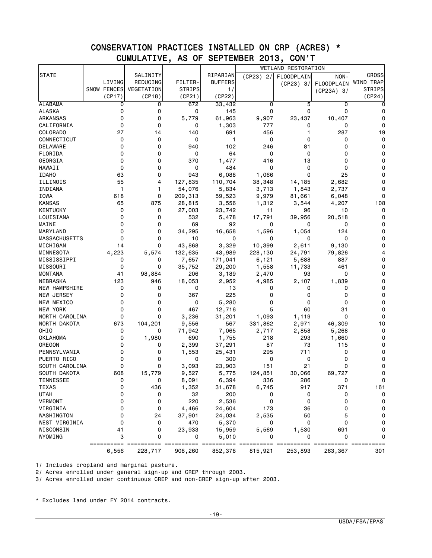## CONSERVATION PRACTICES INSTALLED ON CRP (ACRES) \* CUMULATIVE, AS OF SEPTEMBER 2013, CON'T

|                      |             |            |               |                |           | WETLAND RESTORATION |              |               |
|----------------------|-------------|------------|---------------|----------------|-----------|---------------------|--------------|---------------|
| <b>STATE</b>         |             | SALINITY   |               | RIPARIAN       | (CP23) 2/ | FLOODPLAIN          | NON-         | <b>CROSS</b>  |
|                      | LIVING      | REDUCING   | FILTER-       | <b>BUFFERS</b> |           | (CP23) 3/           | FLOODPLAIN   | WIND TRAP     |
|                      | SNOW FENCES | VEGETATION | <b>STRIPS</b> | 1/             |           |                     | $(CP23A)$ 3/ | <b>STRIPS</b> |
|                      | (CP17)      | (CP18)     | (CP21)        | (CP22)         |           |                     |              | (CP24)        |
| <b>ALABAMA</b>       | 0           | 0          | 672           | 33,432         | 0         | 5                   | $\mathbf 0$  | 0             |
| <b>ALASKA</b>        | 0           | 0          | 0             | 145            | 0         | 0                   | 0            | 0             |
| ARKANSAS             | 0           | 0          | 5,779         | 61,963         | 9,907     | 23,437              | 10,407       | 0             |
| CALIFORNIA           | 0           | 0          | 0             | 1,303          | 777       | 0                   | 0            | 0             |
| COLORADO             | 27          | 14         | 140           | 691            | 456       |                     | 287          | 19            |
| CONNECTICUT          | 0           | 0          | 0             | $\mathbf{1}$   | 0         | 0                   | 0            | 0             |
| <b>DELAWARE</b>      | 0           | 0          | 940           | 102            | 246       | 81                  | 0            | 0             |
| FLORIDA              | 0           | 0          | 0             | 64             | 0         | 0                   | 0            | 0             |
| GEORGIA              | 0           | 0          | 370           | 1,477          | 416       | 13                  | 0            | 0             |
| HAWAII               | 0           | 0          | 0             | 484            | 0         | 0                   | 0            | 0             |
| <b>IDAHO</b>         | 63          | 0          | 943           | 6,088          |           | 0                   | 25           | 0             |
|                      | 55          | 4          |               |                | 1,066     |                     |              | 0             |
| ILLINOIS             |             |            | 127,835       | 110,704        | 38,348    | 14,185              | 2,682        |               |
| INDIANA              | 1           | 1          | 54,076        | 5,834          | 3,713     | 1,843               | 2,737        | 0             |
| IOWA                 | 618         | 0          | 209,313       | 59,523         | 9,979     | 81,661              | 6,048        | 0             |
| <b>KANSAS</b>        | 65          | 875        | 28,815        | 3,556          | 1,312     | 3,544               | 4,207        | 108           |
| KENTUCKY             | 0           | 0          | 27,003        | 23,742         | 11        | 96                  | 10           | 0             |
| LOUISIANA            | 0           | 0          | 532           | 5,478          | 17,791    | 39,956              | 20,518       | 0             |
| MAINE                | 0           | 0          | 69            | 92             | 0         | 0                   | 0            | 0             |
| MARYLAND             | 0           | 0          | 34,295        | 16,658         | 1,596     | 1,054               | 124          | 0             |
| <b>MASSACHUSETTS</b> | 0           | 0          | 10            | 0              | 0         | 0                   | 0            | 0             |
| MICHIGAN             | 14          | 0          | 43,868        | 3,329          | 10,399    | 2,611               | 9,130        | 0             |
| MINNESOTA            | 4,223       | 5,574      | 132,635       | 43,989         | 228,130   | 24,791              | 79,826       | 4             |
| MISSISSIPPI          | 0           | 0          | 7,657         | 171,041        | 6,121     | 5,688               | 887          | 0             |
| MISSOURI             | 0           | 0          | 35,752        | 29,200         | 1,558     | 11,733              | 461          | 0             |
| MONTANA              | 41          | 98,884     | 206           | 3,189          | 2,470     | 93                  | 0            | 0             |
| NEBRASKA             | 123         | 946        | 18,053        | 2,952          | 4,985     | 2,107               | 1,839        | 0             |
| NEW HAMPSHIRE        | 0           | 0          | 0             | 13             | 0         | 0                   | 0            | 0             |
| NEW JERSEY           | 0           | 0          | 367           | 225            | 0         | 0                   | 0            | 0             |
| NEW MEXICO           | 0           | 0          | 0             | 5,280          | 0         | 0                   | 0            | 0             |
| NEW YORK             | 0           | 0          | 467           | 12,716         | 5         | 60                  | 31           | 0             |
| NORTH CAROLINA       | 0           | 0          | 3,236         | 31,201         | 1,093     | 1,119               | $\Omega$     | 0             |
| NORTH DAKOTA         | 673         | 104,201    | 9,556         | 567            | 331,862   | 2,971               | 46,309       | 10            |
| OHIO                 | 0           | 0          | 71,942        | 7,065          | 2,717     | 2,858               | 5,268        | 0             |
| <b>OKLAHOMA</b>      | 0           | 1,980      | 690           | 1,755          | 218       | 293                 | 1,660        | 0             |
| OREGON               | 0           | 0          | 2,399         | 37,291         | 87        | 73                  | 115          | 0             |
| PENNSYLVANIA         | 0           | 0          | 1,553         | 25,431         | 295       | 711                 | 0            | 0             |
| PUERTO RICO          | 0           | 0          | 0             | 300            | 0         | 0                   | 0            | 0             |
| SOUTH CAROLINA       | 0           | 0          | 3,093         | 23,903         | 151       | 21                  | 0            | 0             |
| SOUTH DAKOTA         | 608         | 15,779     | 9,527         | 5,775          | 124,851   | 30,066              | 69,727       | 0             |
| <b>TENNESSEE</b>     |             |            | 8,091         | 6,394          | 336       | 286                 |              | 0             |
| <b>TEXAS</b>         | 0           | 436        | 1,352         | 31,678         | 6,745     | 917                 | 371          | 161           |
| <b>UTAH</b>          | 0           | 0          | 32            | 200            | 0         | 0                   | 0            | 0             |
| <b>VERMONT</b>       | 0           | 0          | 220           | 2,536          | 0         | 0                   | 0            | 0             |
| VIRGINIA             | 0           | 0          | 4,466         | 24,604         | 173       | 36                  | 0            | 0             |
| WASHINGTON           | 0           | 24         | 37,901        | 24,034         | 2,535     | 50                  | 5            | 0             |
| WEST VIRGINIA        | 0           | 0          | 470           | 5,370          | 0         | 0                   | 0            | 0             |
| WISCONSIN            | 41          | 0          | 23,933        | 15,959         | 5,569     | 1,530               | 691          | 0             |
| WYOMING              | 3           | 0          | 0             | 5,010          |           |                     | 0            | 0             |
|                      | ==========  | ===        |               | ======         |           |                     |              |               |
|                      | 6,556       | 228,717    | 908,260       | 852,378        | 815,921   | 253,893             | 263,367      | 301           |

1/ Includes cropland and marginal pasture.

2/ Acres enrolled under general sign-up and CREP through 2003.

3/ Acres enrolled under continuous CREP and non-CREP sign-up after 2003.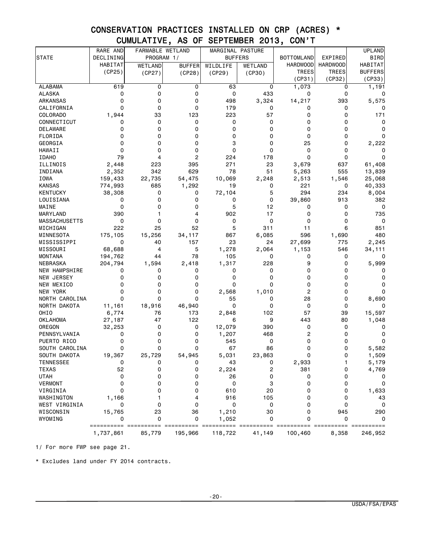# CONSERVATION PRACTICES INSTALLED ON CRP (ACRES) \* CUMULATIVE, AS OF SEPTEMBER 2013, CON'T

|                                  | RARE AND       | FARMABLE WETLAND |               | MARGINAL PASTURE |                |                   |                 | <b>UPLAND</b>  |
|----------------------------------|----------------|------------------|---------------|------------------|----------------|-------------------|-----------------|----------------|
| STATE                            | DECLINING      | PROGRAM 1/       |               | <b>BUFFERS</b>   |                | <b>BOTTOMLAND</b> | EXPIRED         | <b>BIRD</b>    |
|                                  | <b>HABITAT</b> | <b>WETLAND</b>   | <b>BUFFER</b> | WILDLIFE         | <b>WETLAND</b> | <b>HARDWOOD</b>   | <b>HARDWOOD</b> | HABITAT        |
|                                  | (CP25)         | (CP27)           | (CP28)        | (CP29)           | (CP30)         | <b>TREES</b>      | <b>TREES</b>    | <b>BUFFERS</b> |
|                                  |                |                  |               |                  |                | (CP31)            | (CP32)          | (CP33)         |
| <b>ALABAMA</b>                   | 619            | 0                | 0             | 63               | 0              | 1,073             | 0               | 1,191          |
| ALASKA                           | 0              | 0                | 0             | 0                | 433            | 0                 | 0               | 0              |
| ARKANSAS                         | $\mathbf 0$    | 0                | 0             | 498              | 3,324          | 14,217            | 393             | 5,575          |
| CALIFORNIA                       | 0              | 0                | 0             | 179              | 0              | 0                 | 0               | 0              |
| COLORADO                         | 1,944          | 33               | 123           | 223              | 57             | 0                 | 0               | 171            |
| CONNECTICUT                      | 0              | 0                | 0             | 0                | 0              | 0                 | 0               | 0              |
| DELAWARE                         | 0              | 0                | 0             | 0                | 0              | 0                 | 0               | 0              |
| FLORIDA                          | 0              | 0                | 0             | 0                | 0              | 0                 | 0               | 0              |
| GEORGIA                          | 0              | 0                | 0             | 3                | 0              | 25                | 0               | 2,222          |
| <b>HAWAII</b>                    | $\mathbf 0$    | 0                | 0             | 0                | 0              | 0                 | 0               | 0              |
| <b>IDAHO</b>                     | 79             | 4                | 2             | 224              | 178            | 0                 | 0               | 0              |
| ILLINOIS                         | 2,448          | 223              | 395           | 271              | 23             | 3,679             | 637             | 61,408         |
| INDIANA                          | 2,352          | 342              | 629           | 78               | 51             | 5,263             | 555             | 13,839         |
| IOWA                             | 159,433        | 22,735           | 54,475        | 10,069           | 2,248          | 2,513             | 1,546           | 25,068         |
| <b>KANSAS</b>                    | 774,993        | 685              | 1,292         | 19               | 0              | 221               | 0               | 40,333         |
| <b>KENTUCKY</b>                  | 38,308         | 0                | 0             | 72,104           | 5              | 294               | 234             | 8,004          |
| LOUISIANA                        | 0              | 0                | 0             | 0                | 0              | 39,860            | 913             | 382            |
| MAINE                            | 0              | 0                | 0             | 5                | 12             | 0                 | 0               | 0              |
| MARYLAND                         | 390            | 1                | 4             | 902              | 17             | 0                 | 0               | 735            |
| <b>MASSACHUSETTS</b>             | $\mathbf 0$    | $\Omega$         | 0             | 0                | 0              | 0                 | 0               | 0              |
| MICHIGAN                         | 222            | 25               | 52            | 5                | 311            | 11                | 6               | 851            |
| MINNESOTA                        | 175,105        | 15,256           | 34,117        | 867              | 6,085          | 596               | 1,690           | 480            |
| MISSISSIPPI                      | $\mathbf 0$    | 40               | 157           | 23               | 24             | 27,699            | 775             | 2,245          |
| MISSOURI                         | 68,688         | 4                | 5             | 1,278            | 2,064          | 1,153             | 546             | 34,111         |
| <b>MONTANA</b>                   | 194,762        | 44               | 78            | 105              | 0              | 0                 | 0               | 0              |
| NEBRASKA                         | 204,794        | 1,594            | 2,418         | 1,317            | 228            | 9                 | 0               | 5,999          |
| NEW HAMPSHIRE                    | 0              | 0                | 0             | 0                | 0              | 0                 | 0               | 0              |
| NEW JERSEY                       | 0              | 0                | 0             | 0                | 0              | 0                 | 0               | 0              |
| NEW MEXICO                       | 0              | 0                | 0             | 0                | 0              | 0                 | 0               | 0              |
| NEW YORK                         | 0              | 0                | 0             | 2,568            | 1,010          | 2                 | 0               | 0              |
| NORTH CAROLINA                   | $\Omega$       | $\Omega$         | 0             | 55               | 0              | 28                | 0               | 8,690          |
| NORTH DAKOTA                     | 11,161         | 18,916           | 46,940        | 0                | 0              | $\mathbf 0$       | 0               | 0              |
| OHIO                             | 6,774          | 76               | 173           | 2,848            | 102            | 57                | 39              | 15,597         |
| OKLAHOMA                         | 27,187         | 47               | 122           | 6                | 9              | 443               | 80              | 1,048          |
| OREGON                           | 32,253         | 0                | 0             | 12,079           | 390            | 0                 | 0               | 0              |
| PENNSYLVANIA                     | 0              | 0                | 0             | 1,207            | 468            | 2                 | 0               | 0              |
| PUERTO RICO                      | $\mathbf 0$    | 0                | 0             | 545              | 0              | 0                 | 0               | 0              |
| SOUTH CAROLINA                   | 0              | 0                | 0             | 67               | 86             | 0                 | 0               | 5,582          |
| SOUTH DAKOTA<br><b>TENNESSEE</b> | 19,367         | 25,729           | 54,945        | 5,031            | 23,863         | 0                 | 0               | 1,509          |
| <b>TEXAS</b>                     | 52             |                  | 0             | 43               | 0              | 2,933             | 0               | 5,179          |
| <b>UTAH</b>                      | 0              | 0<br>0           | 0             | 2,224<br>26      | 2<br>0         | 381<br>0          | 0               | 4,769<br>0     |
| <b>VERMONT</b>                   | $\mathbf 0$    | 0                | 0             | 0                | 3              | 0                 | 0               | 0              |
| VIRGINIA                         | 0              | 0                | 0             | 610              | 20             | 0                 | 0               |                |
| WASHINGTON                       | 1,166          | 1                | 4             | 916              | 105            | 0                 | 0               | 1,633<br>43    |
| WEST VIRGINIA                    | 0              | 0                | 0             | 0                | 0              | 0                 | 0               | 0              |
| WISCONSIN                        | 15,765         | 23               | 36            | 1,210            | 30             | 0                 | 945             | 290            |
| WYOMING                          | 0              | 0                | 0             | 1,052            | 0              | 0                 | $\Omega$        | 0              |
|                                  |                |                  |               |                  |                |                   |                 | ==========     |
|                                  | 1,737,861      | 85,779           | 195,966       | 118,722          | 41,149         | 100,460           | 8,358           | 246,952        |

1/ For more FWP see page 21.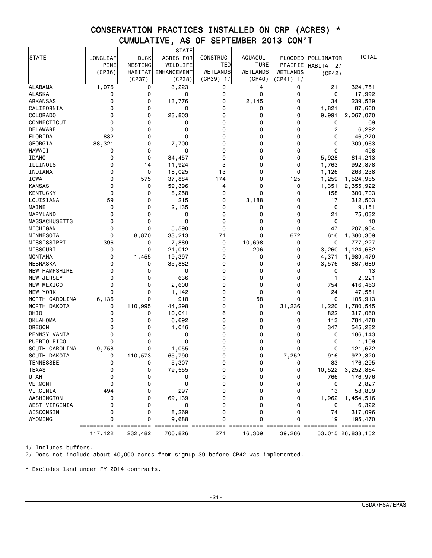# CONSERVATION PRACTICES INSTALLED ON CRP (ACRES) \* CUMULATIVE, AS OF SEPTEMBER 2013 CON'T

|                      |          |             | STATE              |                  |              |              |                |                    |
|----------------------|----------|-------------|--------------------|------------------|--------------|--------------|----------------|--------------------|
| <b>STATE</b>         | LONGLEAF | <b>DUCK</b> | ACRES FOR          | <b>CONSTRUC-</b> | AQUACUL-     | FLOODED      | POLLINATOR     | <b>TOTAL</b>       |
|                      | PINE     | NESTING     | WILDLIFE           | TED              | <b>TURE</b>  | PRAIRIE      | HABITAT 2/     |                    |
|                      | (CP36)   | HABITAT     | <b>ENHANCEMENT</b> | <b>WETLANDS</b>  | WETLANDS     | WETLANDS     | (CP42)         |                    |
|                      |          | (CP37)      | (CP38)             | (CP39) 1/        | (CP40)       | (CP41)<br>1/ |                |                    |
| <b>ALABAMA</b>       | 11,076   | 0           | 3,223              | 0                | 14           | 0            | 21             | 324,751            |
| <b>ALASKA</b>        | 0        | 0           | 0                  | 0                | 0            | 0            | 0              | 17,992             |
| ARKANSAS             | 0        | 0           | 13,776             | 0                | 2,145        | 0            | 34             | 239,539            |
| CALIFORNIA           | 0        | 0           | 0                  | 0                | 0            | 0            | 1,821          | 87,660             |
| COLORADO             | 0        | 0           | 23,803             | 0                | 0            | 0            | 9,991          | 2,067,070          |
| CONNECTICUT          | 0        | 0           | 0                  | 0                | 0            | 0            | 0              | 69                 |
| DELAWARE             | 0        | 0           | 0                  | 0                | 0            | 0            | $\overline{c}$ | 6,292              |
| FLORIDA              | 882      | 0           | 0                  | 0                | 0            | 0            | 0              | 46,270             |
| GEORGIA              | 88,321   | 0           | 7,700              | 0                | 0            | 0            | 0              | 309,963            |
| HAWAII               | 0        | 0           | 0                  | 0                | 0            | 0            | 0              | 498                |
| <b>IDAHO</b>         | 0        | 0           | 84,457             | 0                | 0            | 0            | 5,928          | 614,213            |
| ILLINOIS             | 0        | 14          | 11,924             | 3                | 0            | 0            | 1,763          | 992,878            |
| INDIANA              | 0        | 0           | 18,025             | 13               | 0            | 0            | 1,126          | 263,238            |
| IOWA                 | 0        | 575         | 37,884             | 174              | 0            | 125          | 1,259          | 1,524,985          |
| <b>KANSAS</b>        | 0        | 0           | 59,396             | 4                | 0            | 0            | 1,351          | 2,355,922          |
| <b>KENTUCKY</b>      | 0        | 0           |                    | 0                | 0            | 0            | 158            |                    |
|                      | 59       | 0           | 8,258              | 0                |              | 0            | 17             | 300,703<br>312,503 |
| LOUISIANA<br>MAINE   | 0        | 0           | 215                | 0                | 3,188        | 0            | 0              |                    |
|                      |          |             | 2,135              |                  | 0            |              |                | 9,151              |
| MARYLAND             | 0        | 0           | 0                  | 0                | 0            | 0            | 21             | 75,032             |
| MASSACHUSETTS        | 0        | 0           | 0                  | 0                | 0            | 0            | 0              | 10                 |
| MICHIGAN             | 0        | 0           | 5,590              | 0                | 0            | 0            | 47             | 207,904            |
| MINNESOTA            | 0        | 8,870       | 33,213             | 71               | 0            | 672          | 616            | 1,380,309          |
| MISSISSIPPI          | 396      | 0           | 7,889              | 0                | 10,698       | 0            | 0              | 777,227            |
| MISSOURI             | 0        | 0           | 21,012             | 0                | 206          | 0            | 3,260          | 1,124,682          |
| <b>MONTANA</b>       | 0        | 1,455       | 19,397             | 0                | 0            | 0            | 4,371          | 1,989,479          |
| NEBRASKA             | 0        | 0           | 35,882             | 0                | 0            | 0            | 3,576          | 887,689            |
| <b>NEW HAMPSHIRE</b> | 0        | 0           | 0                  | 0                | 0            | 0            | 0              | 13                 |
| NEW JERSEY           | 0        | 0           | 636                | 0                | 0            | 0            | $\mathbf{1}$   | 2,221              |
| NEW MEXICO           | 0        | 0           | 2,600              | 0                | 0            | 0            | 754            | 416,463            |
| NEW YORK             | 0        | 0           | 1,142              | 0                | 0            | 0            | 24             | 47,551             |
| NORTH CAROLINA       | 6,136    | 0           | 918                | 0                | 58           | 0            | 0              | 105,913            |
| NORTH DAKOTA         | 0        | 110,995     | 44,298             | 0                | 0            | 31,236       | 1,220          | 1,780,545          |
| OHI <sub>0</sub>     | 0        | 0           | 10,041             | 6                | 0            | 0            | 822            | 317,060            |
| OKLAHOMA             | 0        | 0           | 6,692              | 0                | 0            | 0            | 113            | 784,478            |
| OREGON               | 0        | 0           | 1,046              | 0                | 0            | 0            | 347            | 545,282            |
| PENNSYLVANIA         | 0        | 0           | 0                  | 0                | 0            | 0            | 0              | 186,143            |
| PUERTO RICO          | 0        | 0           | 0                  | 0                | 0            | 0            | 0              | 1,109              |
| SOUTH CAROLINA       | 9,758    | 0           | 1,055              | 0                | 0            | 0            | 0              | 121,672            |
| SOUTH DAKOTA         | 0        | 110,573     | 65,790             | 0                | 0            | 7,252        | 916            | 972,320            |
| TENNESSEE            | $\Omega$ | $\Omega$    | 5,307              | $\Omega$         | <sup>0</sup> | 0            | 83             | 176,295            |
| <b>TEXAS</b>         | 0        | 0           | 79,555             | 0                | 0            | 0            | 10,522         | 3,252,864          |
| <b>UTAH</b>          | 0        | 0           | 0                  | 0                | 0            | 0            | 766            | 176,976            |
| VERMONT              | 0        | 0           | 0                  | 0                | 0            | 0            | 0              | 2,827              |
| VIRGINIA             | 494      | 0           | 297                | 0                | 0            | 0            | 13             | 58,809             |
| WASHINGTON           | 0        | 0           | 69,139             | 0                | 0            | 0            | 1,962          | 1,454,516          |
| WEST VIRGINIA        | 0        | 0           | 0                  | 0                | 0            | 0            | 0              | 6,322              |
| WISCONSIN            | 0        | 0           | 8,269              | 0                | 0            | 0            | 74             | 317,096            |
| WYOMING              | 0        | 0           | 9,688              | 0                | 0            | 0            | 19             | 195,470            |
|                      |          |             |                    |                  |              |              |                |                    |
|                      | 117,122  | 232,482     | 700,826            | 271              | 16,309       | 39,286       |                | 53,015 26,838,152  |

1/ Includes buffers.

2/ Does not include about 40,000 acres from signup 39 before CP42 was implemented.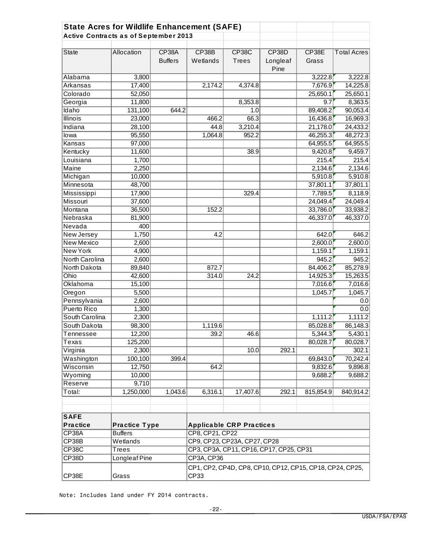| <b>State Acres for Wildlife Enhancement (SAFE)</b> |                      |                                |                                                                         |                              |                           |                |                    |
|----------------------------------------------------|----------------------|--------------------------------|-------------------------------------------------------------------------|------------------------------|---------------------------|----------------|--------------------|
| <b>Active Contracts as of September 2013</b>       |                      |                                |                                                                         |                              |                           |                |                    |
| <b>State</b>                                       | Allocation           | <b>CP38A</b><br><b>Buffers</b> | CP38B<br>Wetlands                                                       | <b>CP38C</b><br><b>Trees</b> | CP38D<br>Longleaf<br>Pine | CP38E<br>Grass | <b>Total Acres</b> |
| Alabama                                            | 3,800                |                                |                                                                         |                              |                           | 3,222.8        | 3,222.8            |
| Arkansas                                           | 17,400               |                                | 2,174.2                                                                 | 4,374.8                      |                           | 7,676.9        | 14,225.8           |
| Colorado                                           | 52,050               |                                |                                                                         |                              |                           | 25,650.1       | 25,650.1           |
| Georgia                                            | 11,800               |                                |                                                                         | 8,353.8                      |                           | 9.7            | 8,363.5            |
| Idaho                                              | 131,100              | 644.2                          |                                                                         | 1.0                          |                           | 89,408.2       | 90,053.4           |
| <b>Illinois</b>                                    | 23,000               |                                | 466.2                                                                   | 66.3                         |                           | 16,436.8       | 16,969.3           |
| Indiana                                            | 28,100               |                                | 44.8                                                                    | 3,210.4                      |                           | 21,178.0       | 24,433.2           |
| lowa                                               | 95,550               |                                | 1,064.8                                                                 | 952.2                        |                           | 46,255.3       | 48,272.3           |
| Kansas                                             | 97,000               |                                |                                                                         |                              |                           | 64,955.5       | 64,955.5           |
| Kentucky                                           | 11,600               |                                |                                                                         | 38.9                         |                           | 9,420.8        | 9,459.7            |
| Louisiana                                          | 1,700                |                                |                                                                         |                              |                           | 215.4          | 215.4              |
| Maine                                              | 2,250                |                                |                                                                         |                              |                           | 2,134.6        | 2,134.6            |
| Michigan                                           | 10,000               |                                |                                                                         |                              |                           | 5,910.8        | 5,910.8            |
| Minnesota                                          | 48,700               |                                |                                                                         |                              |                           | 37,801.1       | 37,801.1           |
| Mississippi                                        | 17,900               |                                |                                                                         | 329.4                        |                           | 7,789.5        | 8,118.9            |
| <b>Missouri</b>                                    | 37,600               |                                |                                                                         |                              |                           | 24,049.4       | 24,049.4           |
| Montana                                            | 36,500               |                                | 152.2                                                                   |                              |                           | 33,786.0       | 33,938.2           |
| Nebraska                                           | 81,900               |                                |                                                                         |                              |                           | 46,337.0       | 46,337.0           |
| Nevada                                             | 400                  |                                |                                                                         |                              |                           |                |                    |
| New Jersey                                         | 1,750                |                                | 4.2                                                                     |                              |                           | 642.0          | 646.2              |
| <b>New Mexico</b>                                  | 2,600                |                                |                                                                         |                              |                           | 2,600.0        | 2,600.0            |
| <b>New York</b>                                    | 4,900                |                                |                                                                         |                              |                           | 1,159.1        | 1,159.1            |
| North Carolina                                     | 2,600                |                                |                                                                         |                              |                           | 945.2          | 945.2              |
| North Dakota                                       | 89,840               |                                | 872.7                                                                   |                              |                           | 84,406.2       | 85,278.9           |
| Ohio                                               | 42,600               |                                | 314.0                                                                   | 24.2                         |                           | 14,925.3       | 15,263.5           |
| Oklahoma                                           | 15,100               |                                |                                                                         |                              |                           | 7,016.6        | 7,016.6            |
| Oregon                                             | 5,500                |                                |                                                                         |                              |                           | 1,045.7        | 1,045.7            |
| Pennsylvania                                       | 2,600                |                                |                                                                         |                              |                           |                | 0.0                |
| Puerto Rico                                        | 1,300                |                                |                                                                         |                              |                           |                | 0.0                |
| South Carolina                                     | 2,300                |                                |                                                                         |                              |                           | 1,111.2        | 1,111.2            |
| South Dakota                                       | 98,300               |                                | 1,119.6                                                                 |                              |                           | 85,028.8       | 86,148.3           |
| Tennessee                                          | 12,200               |                                | 39.2                                                                    | 46.6                         |                           | 5,344.3        | 5,430.1            |
| Texas                                              | 125,200              |                                |                                                                         |                              |                           | 80,028.7       | 80,028.7           |
| Virginia                                           | 2,300                |                                |                                                                         | 10.0                         | 292.1                     |                | 302.1              |
| Washington                                         | 100,100              | 399.4                          |                                                                         |                              |                           | 69,843.0       | 70,242.4           |
| Wisconsin                                          | 12,750               |                                | 64.2                                                                    |                              |                           | 9,832.6        | 9,896.8            |
| Wyoming                                            | 10,000               |                                |                                                                         |                              |                           | 9,688.2        | 9,688.2            |
| Reserve                                            | 9,710                |                                |                                                                         |                              |                           |                |                    |
| Total:                                             | 1,250,000            | 1,043.6                        | 6,316.1                                                                 | 17,407.6                     | 292.1                     | 815,854.9      | 840,914.2          |
| <b>SAFE</b><br><b>Practice</b>                     | <b>Practice Type</b> |                                | <b>Applicable CRP Practices</b>                                         |                              |                           |                |                    |
| CP38A                                              | <b>Buffers</b>       |                                | CP8, CP21, CP22                                                         |                              |                           |                |                    |
| CP38B                                              | Wetlands             |                                | CP9, CP23, CP23A, CP27, CP28<br>CP3, CP3A, CP11, CP16, CP17, CP25, CP31 |                              |                           |                |                    |
| <b>CP38C</b>                                       | Trees                |                                |                                                                         |                              |                           |                |                    |
| CP38D                                              | Longleaf Pine        |                                | CP3A, CP36                                                              |                              |                           |                |                    |
| CP38E                                              | Grass                |                                | CP1, CP2, CP4D, CP8, CP10, CP12, CP15, CP18, CP24, CP25,<br>CP33        |                              |                           |                |                    |

Note: Includes land under FY 2014 contracts.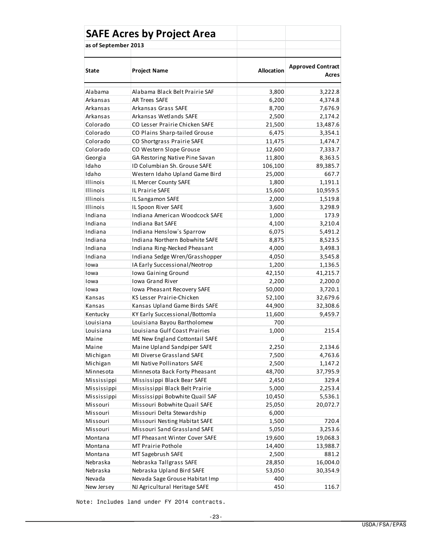|                      | <b>SAFE Acres by Project Area</b> |                   |                                   |
|----------------------|-----------------------------------|-------------------|-----------------------------------|
| as of September 2013 |                                   |                   |                                   |
|                      |                                   |                   |                                   |
| State                | <b>Project Name</b>               | <b>Allocation</b> | <b>Approved Contract</b><br>Acres |
| Alabama              | Alabama Black Belt Prairie SAF    | 3,800             | 3,222.8                           |
| Arkansas             | <b>AR Trees SAFE</b>              | 6,200             | 4,374.8                           |
| Arkansas             | Arkansas Grass SAFE               | 8,700             | 7,676.9                           |
| Arkansas             | Arkansas Wetlands SAFE            | 2,500             | 2,174.2                           |
| Colorado             | CO Lesser Prairie Chicken SAFE    | 21,500            | 13,487.6                          |
| Colorado             | CO Plains Sharp-tailed Grouse     | 6,475             | 3,354.1                           |
| Colorado             | CO Shortgrass Prairie SAFE        | 11,475            | 1,474.7                           |
| Colorado             | CO Western Slope Grouse           | 12,600            | 7,333.7                           |
| Georgia              | GA Restoring Native Pine Savan    | 11,800            | 8,363.5                           |
| Idaho                | ID Columbian Sh. Grouse SAFE      | 106,100           | 89,385.7                          |
| Idaho                | Western Idaho Upland Game Bird    | 25,000            | 667.7                             |
| <b>Illinois</b>      | IL Mercer County SAFE             | 1,800             | 1,191.1                           |
| <b>Illinois</b>      | IL Prairie SAFE                   | 15,600            | 10,959.5                          |
| <b>Illinois</b>      | IL Sangamon SAFE                  | 2,000             | 1,519.8                           |
| Illinois             | IL Spoon River SAFE               | 3,600             | 3,298.9                           |
| Indiana              | Indiana American Woodcock SAFE    | 1,000             | 173.9                             |
| Indiana              | Indiana Bat SAFE                  | 4,100             | 3,210.4                           |
| Indiana              | Indiana Henslow's Sparrow         | 6,075             | 5,491.2                           |
| Indiana              | Indiana Northern Bobwhite SAFE    | 8,875             | 8,523.5                           |
| Indiana              | Indiana Ring-Necked Pheasant      | 4,000             | 3,498.3                           |
| Indiana              | Indiana Sedge Wren/Grasshopper    | 4,050             | 3,545.8                           |
| Iowa                 | IA Early Successional/Neotrop     | 1,200             | 1,136.5                           |
| Iowa                 | <b>Iowa Gaining Ground</b>        | 42,150            | 41,215.7                          |
| Iowa                 | Iowa Grand River                  | 2,200             | 2,200.0                           |
| Iowa                 | Iowa Pheasant Recovery SAFE       | 50,000            | 3,720.1                           |
| Kansas               | KS Lesser Prairie-Chicken         | 52,100            | 32,679.6                          |
| Kansas               | Kansas Upland Game Birds SAFE     | 44,900            | 32,308.6                          |
| Kentucky             | KY Early Successional/Bottomla    | 11,600            | 9,459.7                           |
| Louisiana            | Louisiana Bayou Bartholomew       | 700               |                                   |
| Louisiana            | Louisiana Gulf Coast Prairies     | 1,000             | 215.4                             |
| Maine                | ME New England Cottontail SAFE    | 0                 |                                   |
| Maine                | Maine Upland Sandpiper SAFE       | 2,250             | 2,134.6                           |
| Michigan             | MI Diverse Grassland SAFE         | 7,500             | 4,763.6                           |
| Michigan             | MI Native Pollinators SAFE        | 2,500             | 1,147.2                           |
| Minnesota            | Minnesota Back Forty Pheasant     | 48,700            | 37,795.9                          |
| Mississippi          | Mississippi Black Bear SAFE       | 2,450             | 329.4                             |
| Mississippi          | Mississippi Black Belt Prairie    | 5,000             | 2,253.4                           |
| Mississippi          | Mississippi Bobwhite Quail SAF    | 10,450            | 5,536.1                           |
| Missouri             | Missouri Bobwhite Quail SAFE      | 25,050            | 20,072.7                          |
| Missouri             | Missouri Delta Stewardship        | 6,000             |                                   |
| Missouri             | Missouri Nesting Habitat SAFE     | 1,500             | 720.4                             |
| Missouri             | Missouri Sand Grassland SAFE      | 5,050             | 3,253.6                           |
| Montana              | MT Pheasant Winter Cover SAFE     | 19,600            | 19,068.3                          |
| Montana              | MT Prairie Pothole                | 14,400            | 13,988.7                          |
| Montana              | MT Sagebrush SAFE                 | 2,500             | 881.2                             |
| Nebraska             | Nebraska Tallgrass SAFE           | 28,850            | 16,004.0                          |
| Nebraska             | Nebraska Upland Bird SAFE         | 53,050            | 30,354.9                          |
| Nevada               | Nevada Sage Grouse Habitat Imp    | 400               |                                   |
| New Jersey           | NJ Agricultural Heritage SAFE     | 450               | 116.7                             |

Note: Includes land under FY 2014 contracts.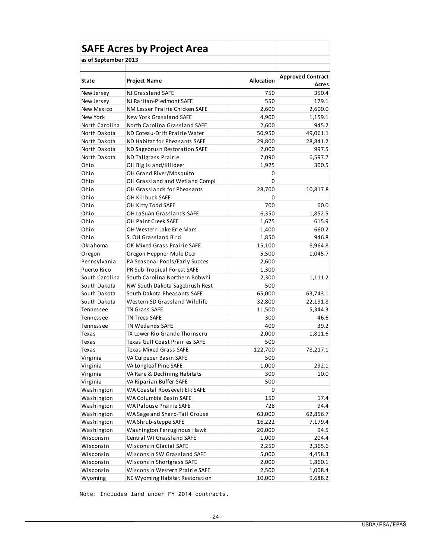| <b>SAFE Acres by Project Area</b> |                                |            |                                   |  |  |  |  |
|-----------------------------------|--------------------------------|------------|-----------------------------------|--|--|--|--|
| as of September 2013              |                                |            |                                   |  |  |  |  |
|                                   |                                |            |                                   |  |  |  |  |
| <b>State</b>                      | <b>Project Name</b>            | Allocation | <b>Approved Contract</b><br>Acres |  |  |  |  |
| New Jersey                        | NJ Grassland SAFE              | 750        | 350.4                             |  |  |  |  |
| New Jersey                        | NJ Raritan-Piedmont SAFE       | 550        | 179.1                             |  |  |  |  |
| New Mexico                        | NM Lesser Prairie Chicken SAFE | 2,600      | 2,600.0                           |  |  |  |  |
| New York                          | New York Grassland SAFE        | 4,900      | 1,159.1                           |  |  |  |  |
| North Carolina                    | North Carolina Grassland SAFE  | 2,600      | 945.2                             |  |  |  |  |
| North Dakota                      | ND Coteau-Drift Prairie Water  | 50,950     | 49,061.1                          |  |  |  |  |
| North Dakota                      | ND Habitat for Pheasants SAFE  | 29,800     | 28,841.2                          |  |  |  |  |
| North Dakota                      | ND Sagebrush Restoration SAFE  | 2,000      | 997.5                             |  |  |  |  |
| North Dakota                      | ND Tallgrass Prairie           | 7,090      | 6,597.7                           |  |  |  |  |
| Ohio                              | OH Big Island/Killdeer         | 1,925      | 300.5                             |  |  |  |  |
| Ohio                              | OH Grand River/Mosquito        | 0          |                                   |  |  |  |  |
| Ohio                              | OH Grassland and Wetland Compl | $\Omega$   |                                   |  |  |  |  |
| Ohio                              | OH Grasslands for Pheasants    | 28,700     | 10,817.8                          |  |  |  |  |
| Ohio                              | OH Killbuck SAFE               | 0          |                                   |  |  |  |  |
| Ohio                              | OH Kitty Todd SAFE             | 700        | 60.0                              |  |  |  |  |
| Ohio                              | OH LaSuAn Grasslands SAFE      | 6,350      | 1,852.5                           |  |  |  |  |
| Ohio                              | OH Paint Creek SAFE            | 1,675      | 615.9                             |  |  |  |  |
| Ohio                              | OH Western Lake Erie Mars      | 1,400      | 660.2                             |  |  |  |  |
| Ohio                              | S. OH Grassland Bird           | 1,850      | 946.8                             |  |  |  |  |
| Oklahoma                          | OK Mixed Grass Prairie SAFE    | 15,100     | 6,964.8                           |  |  |  |  |
| Oregon                            | Oregon Heppner Mule Deer       | 5,500      | 1,045.7                           |  |  |  |  |
| Pennsylvania                      | PA Seasonal Pools/Early Succes | 2,600      |                                   |  |  |  |  |
| Puerto Rico                       | PR Sub-Tropical Forest SAFE    | 1,300      |                                   |  |  |  |  |
| South Carolina                    | South Carolina Northern Bobwhi | 2,300      | 1,111.2                           |  |  |  |  |
| South Dakota                      | NW South Dakota Sagebrush Rest | 500        |                                   |  |  |  |  |
| South Dakota                      | South Dakota Pheasants SAFE    | 65,000     | 63,743.1                          |  |  |  |  |
| South Dakota                      | Western SD Grassland Wildlife  | 32,800     | 22,191.8                          |  |  |  |  |
| Tennessee                         | <b>TN Grass SAFE</b>           | 11,500     | 5,344.3                           |  |  |  |  |
| <b>Tennessee</b>                  | <b>TN Trees SAFE</b>           | 300        | 46.6                              |  |  |  |  |
| Tennessee                         | <b>TN Wetlands SAFE</b>        | 400        | 39.2                              |  |  |  |  |
| Texas                             | TX Lower Rio Grande Thornscru  | 2,000      | 1,811.6                           |  |  |  |  |
| Texas                             | Texas Gulf Coast Prairies SAFE | 500        |                                   |  |  |  |  |
| Texas                             | Texas Mixed Grass SAFE         | 122,700    | 78,217.1                          |  |  |  |  |
| Virginia                          | VA Culpeper Basin SAFE         | 500        |                                   |  |  |  |  |
| Virginia                          | VA Longleaf Pine SAFE          | 1,000      | 292.1                             |  |  |  |  |
| Virginia                          | VA Rare & Declining Habitats   | 300        | 10.0                              |  |  |  |  |
| Virginia                          | VA Riparian Buffer SAFE        | 500        |                                   |  |  |  |  |
| Washington                        | WA Coastal Roosevelt Elk SAFE  | 0          |                                   |  |  |  |  |
| Washington                        | WA Columbia Basin SAFE         | 150        | 17.4                              |  |  |  |  |
| Washington                        | WA Palouse Prairie SAFE        | 728        | 94.4                              |  |  |  |  |
| Washington                        | WA Sage and Sharp-Tail Grouse  | 63,000     | 62,856.7                          |  |  |  |  |
| Washington                        | WA Shrub-steppe SAFE           | 16,222     | 7,179.4                           |  |  |  |  |
| Washington                        | Washington Ferruginous Hawk    | 20,000     | 94.5                              |  |  |  |  |
| Wisconsin                         | Central WI Grassland SAFE      | 1,000      | 204.4                             |  |  |  |  |
| Wisconsin                         | <b>Wisconsin Glacial SAFE</b>  | 2,250      | 2,365.6                           |  |  |  |  |
| Wisconsin                         | Wisconsin SW Grassland SAFE    | 5,000      | 4,458.3                           |  |  |  |  |
| Wisconsin                         | Wisconsin Shortgrass SAFE      | 2,000      | 1,860.1                           |  |  |  |  |
| Wisconsin                         | Wisconsin Western Prairie SAFE | 2,500      | 1,008.4                           |  |  |  |  |
| Wyoming                           | NE Wyoming Habitat Restoration | 10,000     | 9,688.2                           |  |  |  |  |

Note: Includes land under FY 2014 contracts.